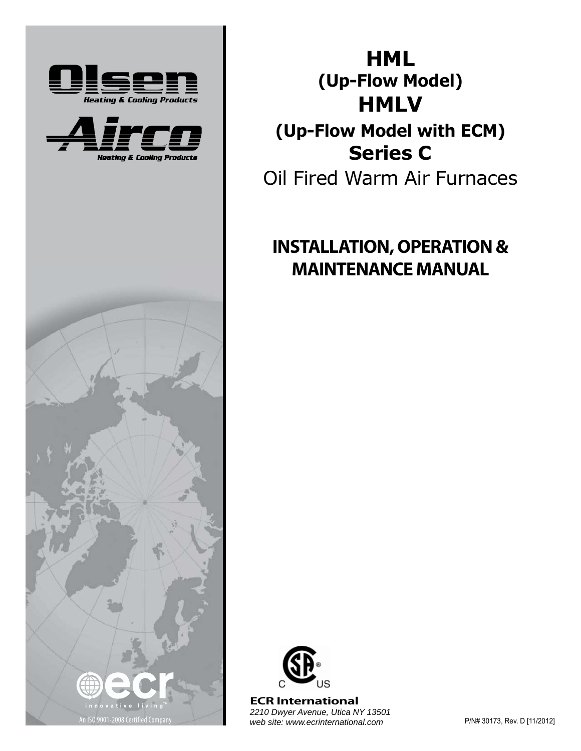





**HML (Up-Flow Model) HMLV**

# **(Up-Flow Model with ECM) Series C**

Oil Fired Warm Air Furnaces

# **INSTALLATION, OPERATION & MAINTENANCE MANUAL**



An ISO 9001-2008 Certified Company P/N# 30173, Rev. D [11/2012] *web site: www.ecrinternational.com***ECR International**  *2210 Dwyer Avenue, Utica NY 13501*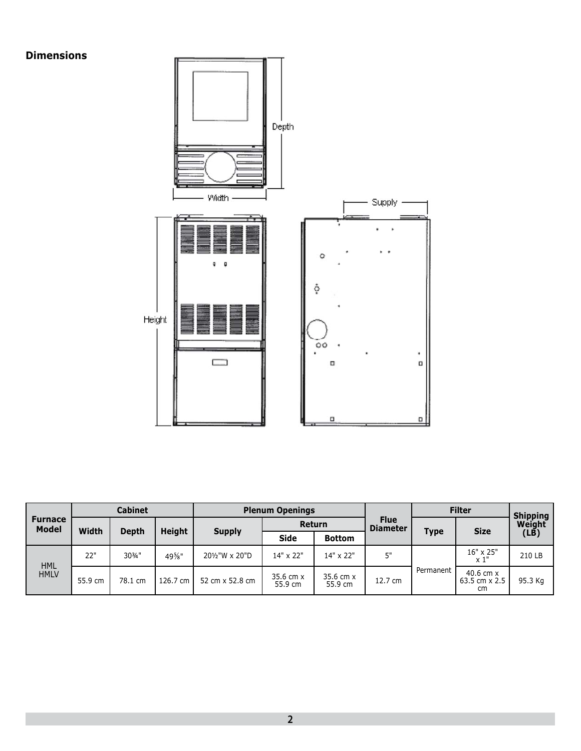#### **Dimensions**



|                                |         | <b>Cabinet</b> |               |                 | <b>Plenum Openings</b> |                      |                                |             | <b>Filter</b>                        | <b>Shipping</b> |
|--------------------------------|---------|----------------|---------------|-----------------|------------------------|----------------------|--------------------------------|-------------|--------------------------------------|-----------------|
| <b>Furnace</b><br><b>Model</b> | Width   | Depth          |               |                 | Return                 |                      | <b>Flue</b><br><b>Diameter</b> |             | <b>Size</b>                          | Weight          |
|                                |         |                | <b>Height</b> | <b>Supply</b>   | <b>Side</b>            | <b>Bottom</b>        |                                | <b>Type</b> |                                      | $(L\tilde{B})$  |
| <b>HML</b>                     | 22"     | 303/4"         | $49\%$ "      | 201/2"W x 20"D  | 14" x 22"              | 14" x 22"            | 5"                             |             | 16" x 25"<br>$\times 1"$             | 210 LB          |
| <b>HMLV</b>                    | 55.9 cm | 78.1 cm        | 126.7 cm      | 52 cm x 52.8 cm | 35.6 cm x<br>55.9 cm   | 35.6 cm x<br>55.9 cm | 12.7 cm                        | Permanent   | $40.6$ cm $x$<br>63.5 cm x 2.5<br>cm | 95.3 Kg         |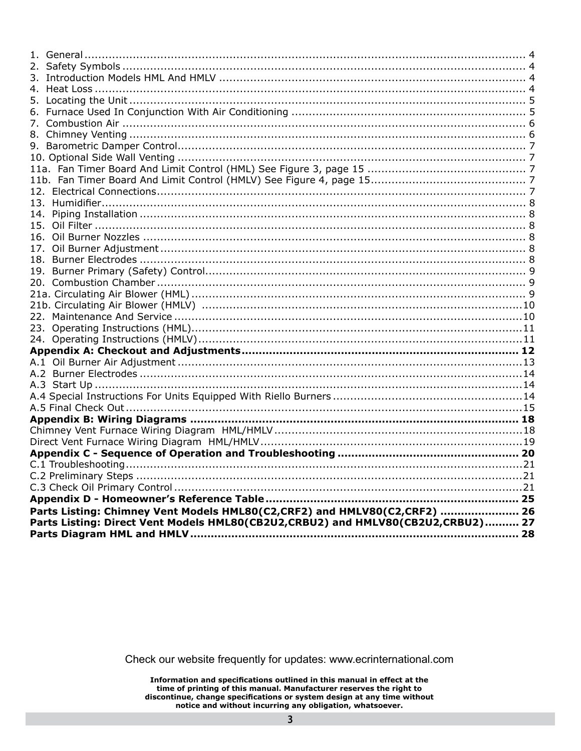| Parts Listing: Chimney Vent Models HML80(C2,CRF2) and HMLV80(C2,CRF2)  26<br>Parts Listing: Direct Vent Models HML80(CB2U2,CRBU2) and HMLV80(CB2U2,CRBU2) 27 |  |
|--------------------------------------------------------------------------------------------------------------------------------------------------------------|--|
|                                                                                                                                                              |  |
|                                                                                                                                                              |  |

Check our website frequently for updates: www.ecrinternational.com

Information and specifications outlined in this manual in effect at the<br>time of printing of this manual. Manufacturer reserves the right to<br>discontinue, change specifications or system design at any time without notice and without incurring any obligation, whatsoever.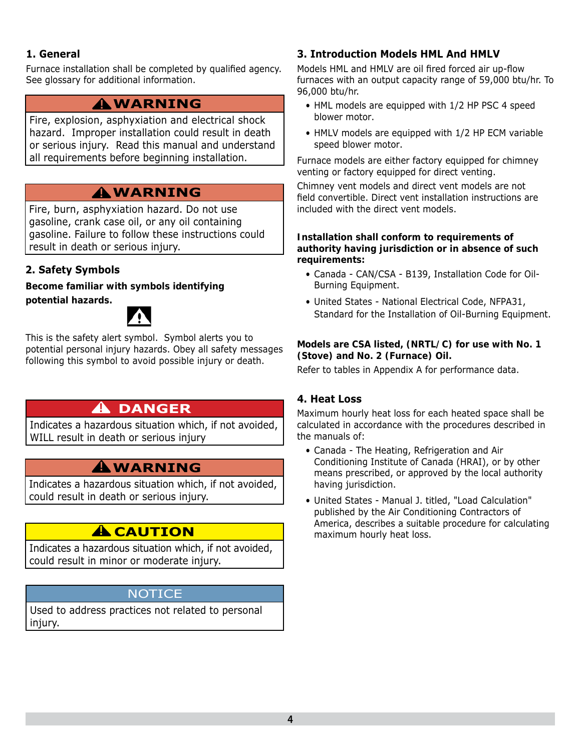#### **1. General**

Furnace installation shall be completed by qualified agency. See glossary for additional information.

# **WARNING !**

Fire, explosion, asphyxiation and electrical shock hazard. Improper installation could result in death or serious injury. Read this manual and understand all requirements before beginning installation.

# **WARNING !**

Fire, burn, asphyxiation hazard. Do not use gasoline, crank case oil, or any oil containing gasoline. Failure to follow these instructions could result in death or serious injury.

#### **2. Safety Symbols**

**Become familiar with symbols identifying** *potential hazards. otential* 



This is the safety alert symbol. Symbol alerts you to potential personal injury hazards. Obey all safety messages following this symbol to avoid possible injury or death.

# **DANGER !**

Indicates a hazardous situation which, if not avoided, WILL result in death or serious injury

# **WARNING !**

Indicates a hazardous situation which, if not avoided, could result in death or serious injury.

# **A** CAUTION

Indicates a hazardous situation which, if not avoided, could result in minor or moderate injury.

#### **NOTICE**

Used to address practices not related to personal injury.

#### **3. Introduction Models HML And HMLV**

Models HML and HMLV are oil fired forced air up-flow furnaces with an output capacity range of 59,000 btu/hr. To 96,000 btu/hr.

- HML models are equipped with 1/2 HP PSC 4 speed blower motor.
- HMLV models are equipped with 1/2 HP ECM variable speed blower motor.

Furnace models are either factory equipped for chimney venting or factory equipped for direct venting.

Chimney vent models and direct vent models are not field convertible. Direct vent installation instructions are included with the direct vent models.

#### *Installation shall conform to requirements of authority having jurisdiction or in absence of such requirements:*

- Canada CAN/CSA B139, Installation Code for Oil-Burning Equipment.
- United States National Electrical Code, NFPA31, Standard for the Installation of Oil-Burning Equipment.

#### *Models are CSA listed, (NRTL/C) for use with No. 1 (Stove) and No. 2 (Furnace) Oil.*

Refer to tables in Appendix A for performance data.

#### **4. Heat Loss**

Maximum hourly heat loss for each heated space shall be calculated in accordance with the procedures described in the manuals of:

- Canada The Heating, Refrigeration and Air Conditioning Institute of Canada (HRAI), or by other means prescribed, or approved by the local authority having jurisdiction.
- United States Manual J. titled, "Load Calculation" published by the Air Conditioning Contractors of America, describes a suitable procedure for calculating maximum hourly heat loss.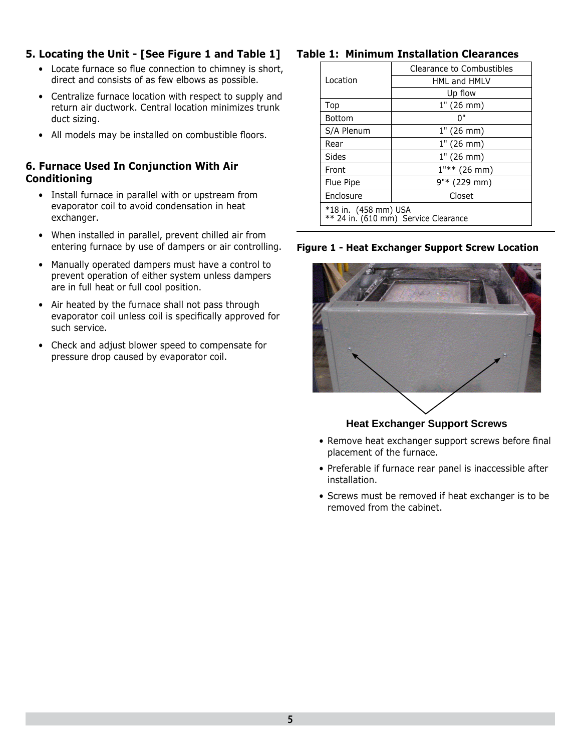#### **5. Locating the Unit - [See Figure 1 and Table 1]**

- Locate furnace so flue connection to chimney is short, direct and consists of as few elbows as possible.
- Centralize furnace location with respect to supply and return air ductwork. Central location minimizes trunk duct sizing.
- All models may be installed on combustible floors.

#### **6. Furnace Used In Conjunction With Air Conditioning**

- Install furnace in parallel with or upstream from evaporator coil to avoid condensation in heat exchanger.
- When installed in parallel, prevent chilled air from entering furnace by use of dampers or air controlling.
- Manually operated dampers must have a control to prevent operation of either system unless dampers are in full heat or full cool position.
- Air heated by the furnace shall not pass through evaporator coil unless coil is specifically approved for such service.
- Check and adjust blower speed to compensate for pressure drop caused by evaporator coil.

#### **Table 1: Minimum Installation Clearances**

|               | Clearance to Combustibles                                    |
|---------------|--------------------------------------------------------------|
| Location      | <b>HML and HMLV</b>                                          |
|               | Up flow                                                      |
| Top           | 1" (26 mm)                                                   |
| <b>Bottom</b> | በ"                                                           |
| S/A Plenum    | 1" (26 mm)                                                   |
| Rear          | 1" (26 mm)                                                   |
| Sides         | 1" (26 mm)                                                   |
| Front         | $1$ "** (26 mm)                                              |
| Flue Pipe     | 9"* (229 mm)                                                 |
| Enclosure     | Closet                                                       |
|               | *18 in. (458 mm) USA<br>** 24 in. (610 mm) Service Clearance |

#### **Figure 1 - Heat Exchanger Support Screw Location**



#### **Heat Exchanger Support Screws**

- Remove heat exchanger support screws before final placement of the furnace.
- Preferable if furnace rear panel is inaccessible after installation.
- Screws must be removed if heat exchanger is to be removed from the cabinet.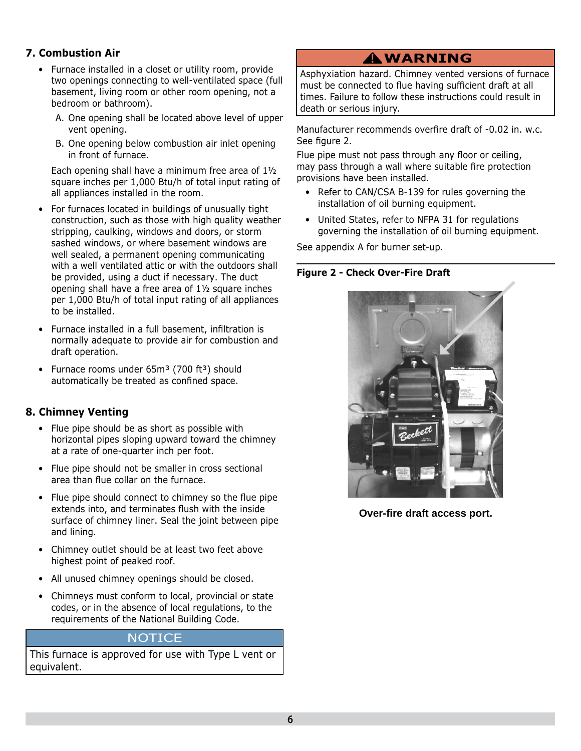#### **7. Combustion Air**

- Furnace installed in a closet or utility room, provide two openings connecting to well-ventilated space (full basement, living room or other room opening, not a bedroom or bathroom).
	- A. One opening shall be located above level of upper vent opening.
	- B. One opening below combustion air inlet opening in front of furnace.

Each opening shall have a minimum free area of 1½ square inches per 1,000 Btu/h of total input rating of all appliances installed in the room.

- For furnaces located in buildings of unusually tight construction, such as those with high quality weather stripping, caulking, windows and doors, or storm sashed windows, or where basement windows are well sealed, a permanent opening communicating with a well ventilated attic or with the outdoors shall be provided, using a duct if necessary. The duct opening shall have a free area of 1½ square inches per 1,000 Btu/h of total input rating of all appliances to be installed.
- Furnace installed in a full basement, infiltration is normally adequate to provide air for combustion and draft operation.
- Furnace rooms under  $65m^3$  (700 ft $^3$ ) should automatically be treated as confined space.

#### **8. Chimney Venting**

- Flue pipe should be as short as possible with horizontal pipes sloping upward toward the chimney at a rate of one-quarter inch per foot.
- Flue pipe should not be smaller in cross sectional area than flue collar on the furnace.
- Flue pipe should connect to chimney so the flue pipe extends into, and terminates flush with the inside surface of chimney liner. Seal the joint between pipe and lining.
- Chimney outlet should be at least two feet above highest point of peaked roof.
- All unused chimney openings should be closed.
- Chimneys must conform to local, provincial or state codes, or in the absence of local regulations, to the requirements of the National Building Code.

#### **NOTICE**

This furnace is approved for use with Type L vent or equivalent.

# **WARNING !**

Asphyxiation hazard. Chimney vented versions of furnace must be connected to flue having sufficient draft at all times. Failure to follow these instructions could result in death or serious injury.

Manufacturer recommends overfire draft of -0.02 in. w.c. See figure 2.

Flue pipe must not pass through any floor or ceiling, may pass through a wall where suitable fire protection provisions have been installed.

- Refer to CAN/CSA B-139 for rules governing the installation of oil burning equipment.
- United States, refer to NFPA 31 for regulations governing the installation of oil burning equipment.

See appendix A for burner set-up.

#### **Figure 2 - Check Over-Fire Draft**



**Over-fire draft access port.**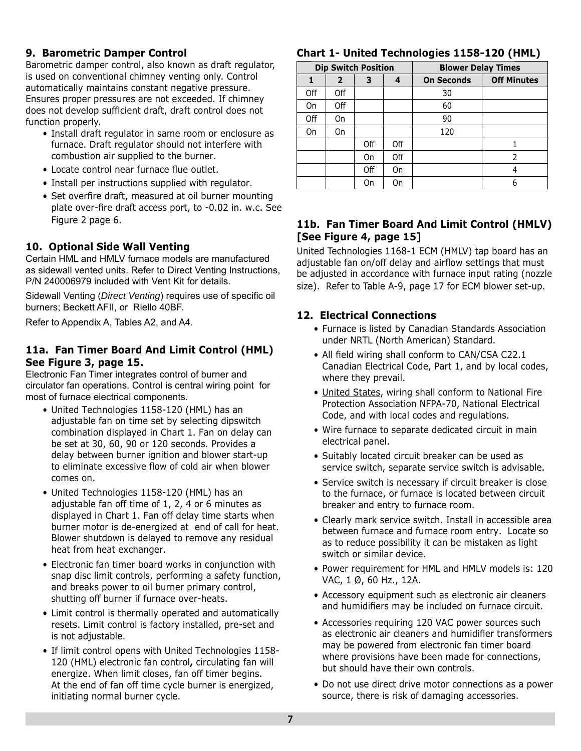#### **9. Barometric Damper Control**

Barometric damper control, also known as draft regulator, is used on conventional chimney venting only. Control automatically maintains constant negative pressure. Ensures proper pressures are not exceeded. If chimney does not develop sufficient draft, draft control does not function properly.

- Install draft regulator in same room or enclosure as furnace. Draft regulator should not interfere with combustion air supplied to the burner.
- Locate control near furnace flue outlet.
- Install per instructions supplied with regulator.
- Set overfire draft, measured at oil burner mounting plate over-fire draft access port, to -0.02 in. w.c. See Figure 2 page 6.

#### **10. Optional Side Wall Venting**

Certain HML and HMLV furnace models are manufactured as sidewall vented units. Refer to Direct Venting Instructions, P/N 240006979 included with Vent Kit for details.

Sidewall Venting (*Direct Venting*) requires use of specific oil burners; Beckett AFII, or Riello 40BF.

Refer to Appendix A, Tables A2, and A4.

#### **11a. Fan Timer Board And Limit Control (HML) See Figure 3, page 15.**

Electronic Fan Timer integrates control of burner and circulator fan operations. Control is central wiring point for most of furnace electrical components.

- United Technologies 1158-120 (HML) has an adjustable fan on time set by selecting dipswitch combination displayed in Chart 1. Fan on delay can be set at 30, 60, 90 or 120 seconds. Provides a delay between burner ignition and blower start-up to eliminate excessive flow of cold air when blower comes on.
- United Technologies 1158-120 (HML) has an adjustable fan off time of 1, 2, 4 or 6 minutes as displayed in Chart 1. Fan off delay time starts when burner motor is de-energized at end of call for heat. Blower shutdown is delayed to remove any residual heat from heat exchanger.
- Electronic fan timer board works in conjunction with snap disc limit controls, performing a safety function, and breaks power to oil burner primary control, shutting off burner if furnace over-heats.
- Limit control is thermally operated and automatically resets. Limit control is factory installed, pre-set and is not adjustable.
- If limit control opens with United Technologies 1158- 120 (HML) electronic fan control**,** circulating fan will energize. When limit closes, fan off timer begins. At the end of fan off time cycle burner is energized, initiating normal burner cycle.

#### **Chart 1- United Technologies 1158-120 (HML)**

|     |                | <b>Dip Switch Position</b> |     | <b>Blower Delay Times</b> |                    |
|-----|----------------|----------------------------|-----|---------------------------|--------------------|
|     | $\overline{2}$ | 3                          | 4   | <b>On Seconds</b>         | <b>Off Minutes</b> |
| Off | Off            |                            |     | 30                        |                    |
| On  | Off            |                            |     | 60                        |                    |
| Off | On             |                            |     | 90                        |                    |
| On  | On             |                            |     | 120                       |                    |
|     |                | Off                        | Off |                           |                    |
|     |                | On                         | Off |                           | 2                  |
|     |                | Off                        | On  |                           | 4                  |
|     |                | On                         | On  |                           | 6                  |

#### **11b. Fan Timer Board And Limit Control (HMLV) [See Figure 4, page 15]**

United Technologies 1168-1 ECM (HMLV) tap board has an adjustable fan on/off delay and airflow settings that must be adjusted in accordance with furnace input rating (nozzle size). Refer to Table A-9, page 17 for ECM blower set-up.

#### **12. Electrical Connections**

- Furnace is listed by Canadian Standards Association under NRTL (North American) Standard.
- All field wiring shall conform to CAN/CSA C22.1 Canadian Electrical Code, Part 1, and by local codes, where they prevail.
- United States, wiring shall conform to National Fire Protection Association NFPA-70, National Electrical Code, and with local codes and regulations.
- Wire furnace to separate dedicated circuit in main electrical panel.
- Suitably located circuit breaker can be used as service switch, separate service switch is advisable.
- Service switch is necessary if circuit breaker is close to the furnace, or furnace is located between circuit breaker and entry to furnace room.
- Clearly mark service switch. Install in accessible area between furnace and furnace room entry. Locate so as to reduce possibility it can be mistaken as light switch or similar device.
- Power requirement for HML and HMLV models is: 120 VAC, 1 Ø, 60 Hz., 12A.
- Accessory equipment such as electronic air cleaners and humidifiers may be included on furnace circuit.
- Accessories requiring 120 VAC power sources such as electronic air cleaners and humidifier transformers may be powered from electronic fan timer board where provisions have been made for connections, but should have their own controls.
- Do not use direct drive motor connections as a power source, there is risk of damaging accessories.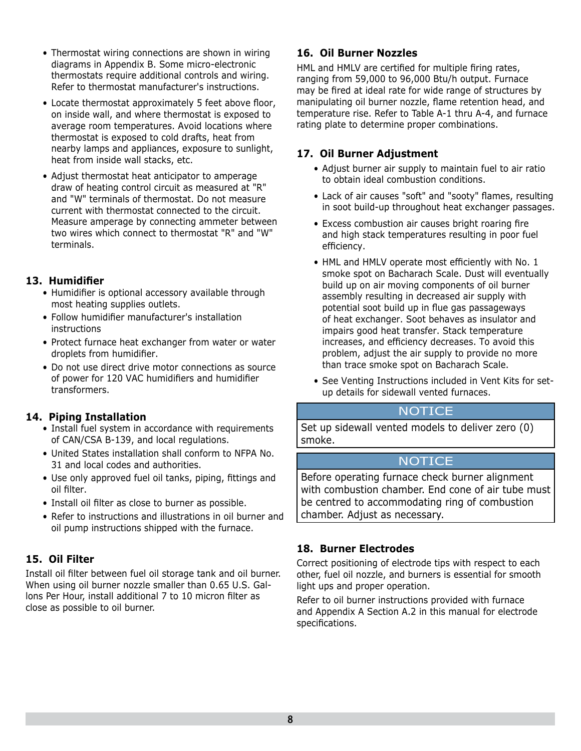- Thermostat wiring connections are shown in wiring diagrams in Appendix B. Some micro-electronic thermostats require additional controls and wiring. Refer to thermostat manufacturer's instructions.
- Locate thermostat approximately 5 feet above floor, on inside wall, and where thermostat is exposed to average room temperatures. Avoid locations where thermostat is exposed to cold drafts, heat from nearby lamps and appliances, exposure to sunlight, heat from inside wall stacks, etc.
- Adjust thermostat heat anticipator to amperage draw of heating control circuit as measured at "R" and "W" terminals of thermostat. Do not measure current with thermostat connected to the circuit. Measure amperage by connecting ammeter between two wires which connect to thermostat "R" and "W" terminals.

#### 13. Humidifier

- Humidifier is optional accessory available through most heating supplies outlets.
- Follow humidifier manufacturer's installation instructions
- Protect furnace heat exchanger from water or water droplets from humidifier.
- Do not use direct drive motor connections as source of power for 120 VAC humidifiers and humidifier transformers.

#### **14. Piping Installation**

- Install fuel system in accordance with requirements of CAN/CSA B-139, and local regulations.
- United States installation shall conform to NFPA No. 31 and local codes and authorities.
- Use only approved fuel oil tanks, piping, fittings and oil filter.
- Install oil filter as close to burner as possible.
- Refer to instructions and illustrations in oil burner and oil pump instructions shipped with the furnace.

#### **15. Oil Filter**

Install oil filter between fuel oil storage tank and oil burner. When using oil burner nozzle smaller than 0.65 U.S. Gallons Per Hour, install additional 7 to 10 micron filter as close as possible to oil burner.

#### **16. Oil Burner Nozzles**

HML and HMLV are certified for multiple firing rates, ranging from 59,000 to 96,000 Btu/h output. Furnace may be fired at ideal rate for wide range of structures by manipulating oil burner nozzle, flame retention head, and temperature rise. Refer to Table A-1 thru A-4, and furnace rating plate to determine proper combinations.

#### **17. Oil Burner Adjustment**

- Adjust burner air supply to maintain fuel to air ratio to obtain ideal combustion conditions.
- Lack of air causes "soft" and "sooty" flames, resulting in soot build-up throughout heat exchanger passages.
- Excess combustion air causes bright roaring fire and high stack temperatures resulting in poor fuel efficiency.
- HML and HMLV operate most efficiently with No. 1 smoke spot on Bacharach Scale. Dust will eventually build up on air moving components of oil burner assembly resulting in decreased air supply with potential soot build up in flue gas passageways of heat exchanger. Soot behaves as insulator and impairs good heat transfer. Stack temperature increases, and efficiency decreases. To avoid this problem, adjust the air supply to provide no more than trace smoke spot on Bacharach Scale.
- See Venting Instructions included in Vent Kits for setup details for sidewall vented furnaces.

#### NOTICE

Set up sidewall vented models to deliver zero (0) smoke.

#### NOTICE

Before operating furnace check burner alignment with combustion chamber. End cone of air tube must be centred to accommodating ring of combustion chamber. Adjust as necessary.

#### **18. Burner Electrodes**

Correct positioning of electrode tips with respect to each other, fuel oil nozzle, and burners is essential for smooth light ups and proper operation.

Refer to oil burner instructions provided with furnace and Appendix A Section A.2 in this manual for electrode specifications.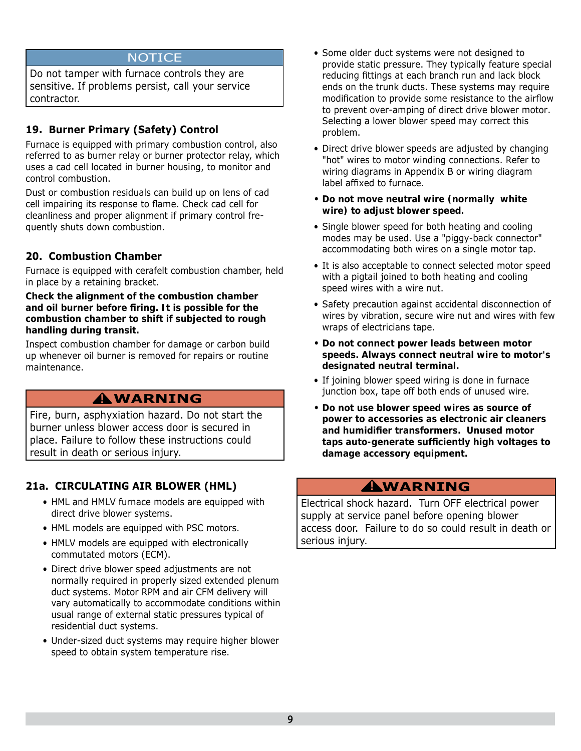#### **NOTICE**

Do not tamper with furnace controls they are sensitive. If problems persist, call your service contractor.

#### **19. Burner Primary (Safety) Control**

Furnace is equipped with primary combustion control, also referred to as burner relay or burner protector relay, which uses a cad cell located in burner housing, to monitor and control combustion.

Dust or combustion residuals can build up on lens of cad cell impairing its response to flame. Check cad cell for cleanliness and proper alignment if primary control frequently shuts down combustion.

#### **20. Combustion Chamber**

Furnace is equipped with cerafelt combustion chamber, held in place by a retaining bracket.

#### *Check the alignment of the combustion chamber and oil burner before fi ring. It is possible for the combustion chamber to shift if subjected to rough handling during transit.*

Inspect combustion chamber for damage or carbon build up whenever oil burner is removed for repairs or routine maintenance.

# **WARNING !**

Fire, burn, asphyxiation hazard. Do not start the burner unless blower access door is secured in place. Failure to follow these instructions could result in death or serious injury.

#### **21a. CIRCULATING AIR BLOWER (HML)**

- HML and HMLV furnace models are equipped with direct drive blower systems.
- HML models are equipped with PSC motors.
- HMLV models are equipped with electronically commutated motors (ECM).
- Direct drive blower speed adjustments are not normally required in properly sized extended plenum duct systems. Motor RPM and air CFM delivery will vary automatically to accommodate conditions within usual range of external static pressures typical of residential duct systems.
- Under-sized duct systems may require higher blower speed to obtain system temperature rise.
- Some older duct systems were not designed to provide static pressure. They typically feature special reducing fittings at each branch run and lack block ends on the trunk ducts. These systems may require modification to provide some resistance to the airflow to prevent over-amping of direct drive blower motor. Selecting a lower blower speed may correct this problem.
- Direct drive blower speeds are adjusted by changing "hot" wires to motor winding connections. Refer to wiring diagrams in Appendix B or wiring diagram label affixed to furnace.
- *Do not move neutral wire (normally white wire) to adjust blower speed.*
- Single blower speed for both heating and cooling modes may be used. Use a "piggy-back connector" accommodating both wires on a single motor tap.
- It is also acceptable to connect selected motor speed with a pigtail joined to both heating and cooling speed wires with a wire nut.
- Safety precaution against accidental disconnection of wires by vibration, secure wire nut and wires with few wraps of electricians tape.
- *Do not connect power leads between motor speeds. Always connect neutral wire to motor's designated neutral terminal.*
- If joining blower speed wiring is done in furnace junction box, tape off both ends of unused wire.
- *Do not use blower speed wires as source of power to accessories as electronic air cleaners and humidifi er transformers. Unused motor taps auto-generate suffi ciently high voltages to damage accessory equipment.*

### **WARNING !**

Electrical shock hazard. Turn OFF electrical power supply at service panel before opening blower access door. Failure to do so could result in death or serious injury.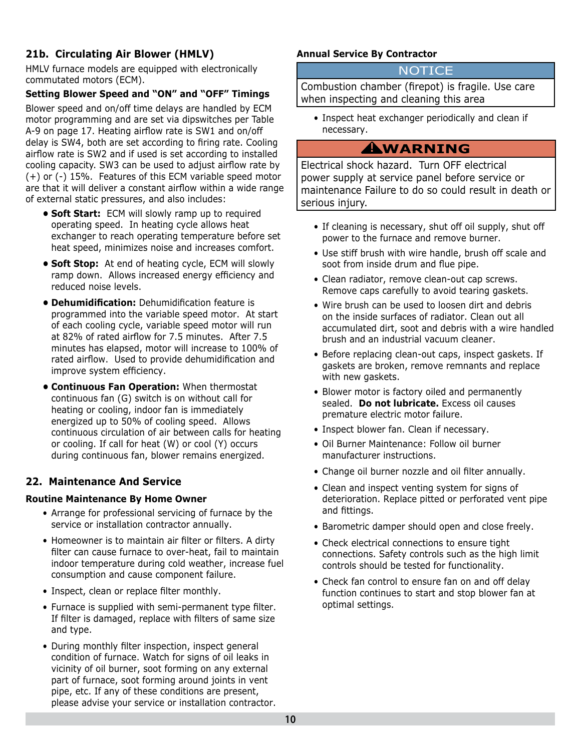#### **21b. Circulating Air Blower (HMLV)**

HMLV furnace models are equipped with electronically commutated motors (ECM).

#### **Setting Blower Speed and "ON" and "OFF" Timings**

Blower speed and on/off time delays are handled by ECM motor programming and are set via dipswitches per Table A-9 on page 17. Heating airflow rate is SW1 and on/off delay is SW4, both are set according to firing rate. Cooling airflow rate is SW2 and if used is set according to installed cooling capacity. SW3 can be used to adjust airflow rate by (+) or (-) 15%. Features of this ECM variable speed motor are that it will deliver a constant airflow within a wide range of external static pressures, and also includes:

- **Soft Start:** ECM will slowly ramp up to required operating speed. In heating cycle allows heat exchanger to reach operating temperature before set heat speed, minimizes noise and increases comfort.
- **Soft Stop:** At end of heating cycle, ECM will slowly ramp down. Allows increased energy efficiency and reduced noise levels.
- **Dehumidification:** Dehumidification feature is programmed into the variable speed motor. At start of each cooling cycle, variable speed motor will run at 82% of rated airflow for 7.5 minutes. After 7.5 minutes has elapsed, motor will increase to 100% of rated airflow. Used to provide dehumidification and improve system efficiency.
- **Continuous Fan Operation:** When thermostat continuous fan (G) switch is on without call for heating or cooling, indoor fan is immediately energized up to 50% of cooling speed. Allows continuous circulation of air between calls for heating or cooling. If call for heat (W) or cool (Y) occurs during continuous fan, blower remains energized.

#### **22. Maintenance And Service**

#### **Routine Maintenance By Home Owner**

- Arrange for professional servicing of furnace by the service or installation contractor annually.
- Homeowner is to maintain air filter or filters. A dirty filter can cause furnace to over-heat, fail to maintain indoor temperature during cold weather, increase fuel consumption and cause component failure.
- Inspect, clean or replace filter monthly.
- Furnace is supplied with semi-permanent type filter. If filter is damaged, replace with filters of same size and type.
- During monthly filter inspection, inspect general condition of furnace. Watch for signs of oil leaks in vicinity of oil burner, soot forming on any external part of furnace, soot forming around joints in vent pipe, etc. If any of these conditions are present, please advise your service or installation contractor.

#### **Annual Service By Contractor**

#### **NOTICE**

Combustion chamber (firepot) is fragile. Use care when inspecting and cleaning this area

• Inspect heat exchanger periodically and clean if necessary.

# **WARNING !**

Electrical shock hazard. Turn OFF electrical power supply at service panel before service or maintenance Failure to do so could result in death or serious injury.

- If cleaning is necessary, shut off oil supply, shut off power to the furnace and remove burner.
- Use stiff brush with wire handle, brush off scale and soot from inside drum and flue pipe.
- Clean radiator, remove clean-out cap screws. Remove caps carefully to avoid tearing gaskets.
- Wire brush can be used to loosen dirt and debris on the inside surfaces of radiator. Clean out all accumulated dirt, soot and debris with a wire handled brush and an industrial vacuum cleaner.
- Before replacing clean-out caps, inspect gaskets. If gaskets are broken, remove remnants and replace with new gaskets.
- Blower motor is factory oiled and permanently sealed. *Do not lubricate.* Excess oil causes premature electric motor failure.
- Inspect blower fan. Clean if necessary.
- Oil Burner Maintenance: Follow oil burner manufacturer instructions.
- Change oil burner nozzle and oil filter annually.
- Clean and inspect venting system for signs of deterioration. Replace pitted or perforated vent pipe and fittings.
- Barometric damper should open and close freely.
- Check electrical connections to ensure tight connections. Safety controls such as the high limit controls should be tested for functionality.
- Check fan control to ensure fan on and off delay function continues to start and stop blower fan at optimal settings.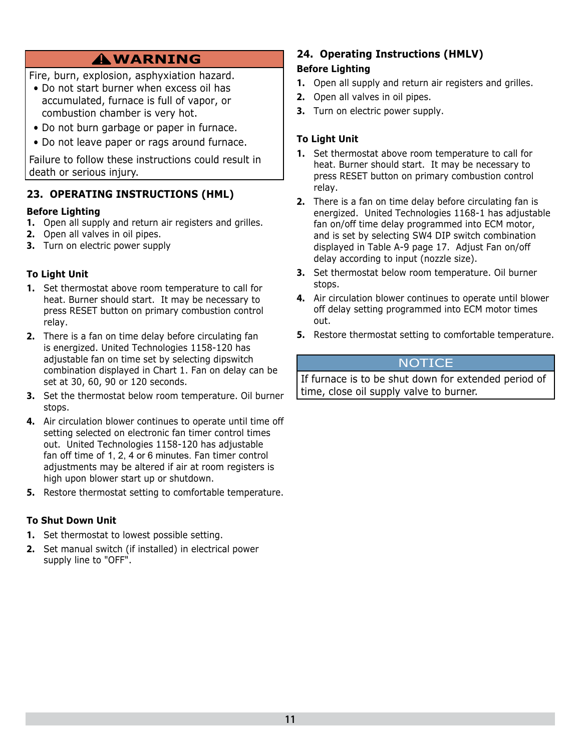# **WARNING !**

- Fire, burn, explosion, asphyxiation hazard.
- Do not start burner when excess oil has accumulated, furnace is full of vapor, or combustion chamber is very hot.
- Do not burn garbage or paper in furnace.
- Do not leave paper or rags around furnace.

Failure to follow these instructions could result in death or serious injury.

#### **23. OPERATING INSTRUCTIONS (HML)**

#### **Before Lighting**

- **1.** Open all supply and return air registers and grilles.
- **2.** Open all valves in oil pipes.
- **3.** Turn on electric power supply

#### **To Light Unit**

- **1.** Set thermostat above room temperature to call for heat. Burner should start. It may be necessary to press RESET button on primary combustion control relay.
- **2.** There is a fan on time delay before circulating fan is energized. United Technologies 1158-120 has adjustable fan on time set by selecting dipswitch combination displayed in Chart 1. Fan on delay can be set at 30, 60, 90 or 120 seconds.
- **3.** Set the thermostat below room temperature. Oil burner stops.
- **4.** Air circulation blower continues to operate until time off setting selected on electronic fan timer control times out. United Technologies 1158-120 has adjustable fan off time of 1, 2, 4 or 6 minutes. Fan timer control adjustments may be altered if air at room registers is high upon blower start up or shutdown.
- **5.** Restore thermostat setting to comfortable temperature.

#### **To Shut Down Unit**

- **1.** Set thermostat to lowest possible setting.
- **2.** Set manual switch (if installed) in electrical power supply line to "OFF".

#### **24. Operating Instructions (HMLV) Before Lighting**

- **1.** Open all supply and return air registers and grilles.
- **2.** Open all valves in oil pipes.
- **3.** Turn on electric power supply.

#### **To Light Unit**

- **1.** Set thermostat above room temperature to call for heat. Burner should start. It may be necessary to press RESET button on primary combustion control relay.
- **2.** There is a fan on time delay before circulating fan is energized. United Technologies 1168-1 has adjustable fan on/off time delay programmed into ECM motor, and is set by selecting SW4 DIP switch combination displayed in Table A-9 page 17. Adjust Fan on/off delay according to input (nozzle size).
- **3.** Set thermostat below room temperature. Oil burner stops.
- **4.** Air circulation blower continues to operate until blower off delay setting programmed into ECM motor times out.
- **5.** Restore thermostat setting to comfortable temperature.

#### **NOTICE**

If furnace is to be shut down for extended period of time, close oil supply valve to burner.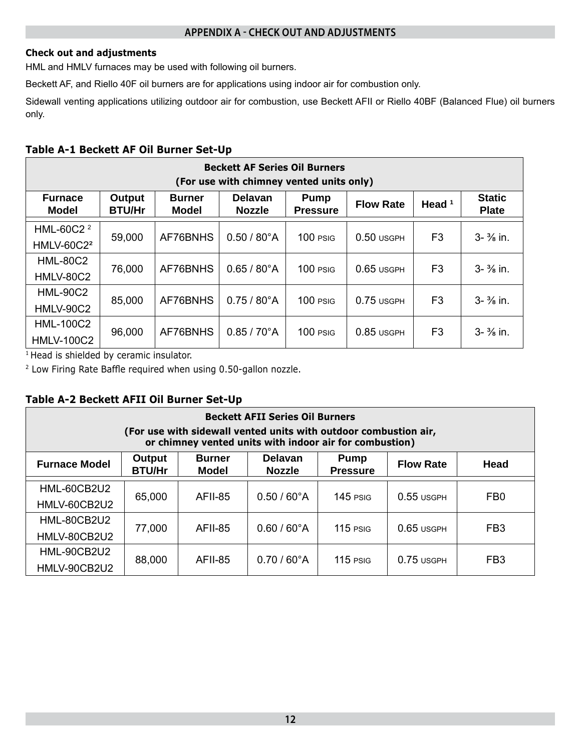#### **APPENDIX A - CHECK OUT AND ADJUSTMENTS**

#### **Check out and adjustments**

HML and HMLV furnaces may be used with following oil burners.

Beckett AF, and Riello 40F oil burners are for applications using indoor air for combustion only.

Sidewall venting applications utilizing outdoor air for combustion, use Beckett AFII or Riello 40BF (Balanced Flue) oil burners only.

#### **Table A-1 Beckett AF Oil Burner Set-Up**

|                              |                                |                               | <b>Beckett AF Series Oil Burners</b><br>(For use with chimney vented units only) |                                |                  |                |                               |
|------------------------------|--------------------------------|-------------------------------|----------------------------------------------------------------------------------|--------------------------------|------------------|----------------|-------------------------------|
| <b>Furnace</b><br>Model      | <b>Output</b><br><b>BTU/Hr</b> | <b>Burner</b><br><b>Model</b> | <b>Delavan</b><br><b>Nozzle</b>                                                  | <b>Pump</b><br><b>Pressure</b> | <b>Flow Rate</b> | Head $1$       | <b>Static</b><br><b>Plate</b> |
| HML-60C2 <sup>2</sup>        | 59,000                         | AF76BNHS                      | $0.50 / 80^{\circ}$ A                                                            | $100$ PSIG                     | $0.50$ usgph     | F <sub>3</sub> | $3 - \frac{3}{8}$ in.         |
| <b>HMLV-60C2<sup>2</sup></b> |                                |                               |                                                                                  |                                |                  |                |                               |
| <b>HML-80C2</b>              | 76,000                         | AF76BNHS                      | $0.65 / 80^{\circ}$ A                                                            | $100$ $PSiG$                   | $0.65$ USGPH     | F3             | $3 - \frac{3}{8}$ in.         |
| <b>HMLV-80C2</b>             |                                |                               |                                                                                  |                                |                  |                |                               |
| <b>HML-90C2</b>              | 85,000                         | AF76BNHS                      | $0.75/80^{\circ}$ A                                                              | $100$ $PSiG$                   | $0.75$ USGPH     | F3             | $3 - \frac{3}{8}$ in.         |
| <b>HMLV-90C2</b>             |                                |                               |                                                                                  |                                |                  |                |                               |
| <b>HML-100C2</b>             |                                | AF76BNHS                      | $0.85 / 70^{\circ}$ A                                                            | $100$ $PSiG$                   | $0.85$ USGPH     | F3             | $3 - \frac{3}{8}$ in.         |
| <b>HMLV-100C2</b>            | 96,000                         |                               |                                                                                  |                                |                  |                |                               |

<sup>1</sup> Head is shielded by ceramic insulator.

 $2$  Low Firing Rate Baffle required when using 0.50-gallon nozzle.

#### **Table A-2 Beckett AFII Oil Burner Set-Up**

|                             |                         |                               | <b>Beckett AFII Series Oil Burners</b><br>(For use with sidewall vented units with outdoor combustion air,<br>or chimney vented units with indoor air for combustion) |                                |                  |                 |
|-----------------------------|-------------------------|-------------------------------|-----------------------------------------------------------------------------------------------------------------------------------------------------------------------|--------------------------------|------------------|-----------------|
| <b>Furnace Model</b>        | Output<br><b>BTU/Hr</b> | <b>Burner</b><br><b>Model</b> | <b>Delavan</b><br><b>Nozzle</b>                                                                                                                                       | <b>Pump</b><br><b>Pressure</b> | <b>Flow Rate</b> | Head            |
| HML-60CB2U2<br>HMLV-60CB2U2 | 65,000                  | AFII-85                       | $0.50 / 60^{\circ}$ A                                                                                                                                                 | $145$ PSIG                     | $0.55$ USGPH     | FB <sub>0</sub> |
| HML-80CB2U2<br>HMLV-80CB2U2 | 77,000                  | <b>AFII-85</b>                | $0.60 / 60^{\circ}$ A                                                                                                                                                 | $115$ PSIG                     | $0.65$ USGPH     | FB <sub>3</sub> |
| HML-90CB2U2<br>HMLV-90CB2U2 | 88,000                  | <b>AFII-85</b>                | $0.70/60^{\circ}$ A                                                                                                                                                   | $115$ PSIG                     | $0.75$ USGPH     | FB <sub>3</sub> |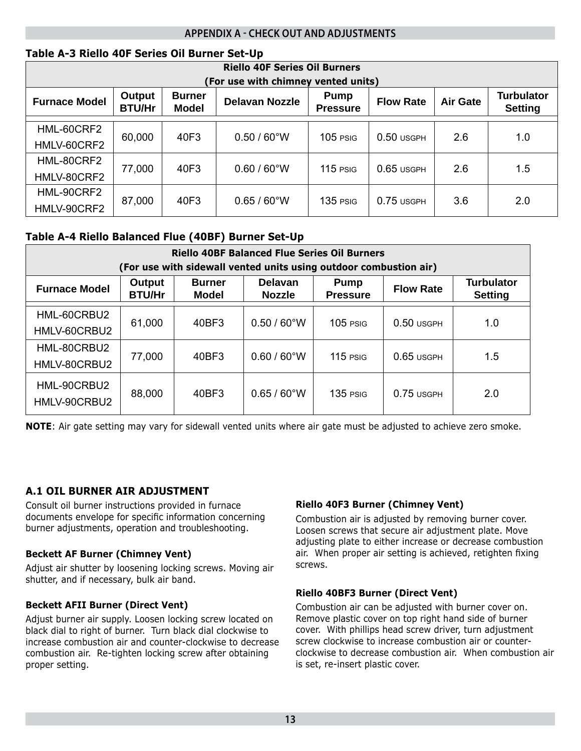#### **APPENDIX A - CHECK OUT AND ADJUSTMENTS**

#### **Table A-3 Riello 40F Series Oil Burner Set-Up**

|                      |                         |                               | <b>Riello 40F Series Oil Burners</b> |                                |                  |                 |                                     |
|----------------------|-------------------------|-------------------------------|--------------------------------------|--------------------------------|------------------|-----------------|-------------------------------------|
|                      |                         |                               | (For use with chimney vented units)  |                                |                  |                 |                                     |
| <b>Furnace Model</b> | Output<br><b>BTU/Hr</b> | <b>Burner</b><br><b>Model</b> | <b>Delavan Nozzle</b>                | <b>Pump</b><br><b>Pressure</b> | <b>Flow Rate</b> | <b>Air Gate</b> | <b>Turbulator</b><br><b>Setting</b> |
| HML-60CRF2           |                         |                               |                                      |                                |                  |                 |                                     |
| HMLV-60CRF2          | 60,000                  | 40F3                          | $0.50 / 60^{\circ}$ W                | $105$ PSIG                     | $0.50$ usgph     | 2.6             | 1.0                                 |
|                      |                         |                               |                                      |                                |                  |                 |                                     |
| HML-80CRF2           | 77,000                  | 40F3                          | $0.60 / 60^{\circ}$ W                | $115$ PSIG                     | $0.65$ USGPH     | 2.6             | 1.5                                 |
| HMLV-80CRF2          |                         |                               |                                      |                                |                  |                 |                                     |
| HML-90CRF2           |                         |                               |                                      |                                |                  |                 |                                     |
| HMLV-90CRF2          | 87,000                  | 40F3                          | $0.65 / 60^{\circ}$ W                | 135 PSIG                       | $0.75$ USGPH     | 3.6             | 2.0                                 |

#### **Table A-4 Riello Balanced Flue (40BF) Burner Set-Up**

|                             |                         |                        | <b>Riello 40BF Balanced Flue Series Oil Burners</b><br>(For use with sidewall vented units using outdoor combustion air) |                                |                  |                                     |
|-----------------------------|-------------------------|------------------------|--------------------------------------------------------------------------------------------------------------------------|--------------------------------|------------------|-------------------------------------|
| <b>Furnace Model</b>        | Output<br><b>BTU/Hr</b> | <b>Burner</b><br>Model | Delavan<br><b>Nozzle</b>                                                                                                 | <b>Pump</b><br><b>Pressure</b> | <b>Flow Rate</b> | <b>Turbulator</b><br><b>Setting</b> |
| HML-60CRBU2<br>HMLV-60CRBU2 | 61,000                  | 40BF3                  | $0.50 / 60^{\circ}$ W                                                                                                    | $105$ PSIG                     | $0.50$ usgph     | 1.0                                 |
| HML-80CRBU2<br>HMLV-80CRBU2 | 77,000                  | 40BF3                  | $0.60 / 60^{\circ}$ W                                                                                                    | $115$ PSIG                     | $0.65$ usgph     | 1.5                                 |
| HML-90CRBU2<br>HMLV-90CRBU2 | 88,000                  | 40BF3                  | $0.65 / 60^{\circ}$ W                                                                                                    | $135$ PSIG                     | $0.75$ USGPH     | 2.0                                 |

**NOTE**: Air gate setting may vary for sidewall vented units where air gate must be adjusted to achieve zero smoke.

#### **A.1 OIL BURNER AIR ADJUSTMENT**

Consult oil burner instructions provided in furnace documents envelope for specific information concerning burner adjustments, operation and troubleshooting.

#### **Beckett AF Burner (Chimney Vent)**

Adjust air shutter by loosening locking screws. Moving air shutter, and if necessary, bulk air band.

#### **Beckett AFII Burner (Direct Vent)**

Adjust burner air supply. Loosen locking screw located on black dial to right of burner. Turn black dial clockwise to increase combustion air and counter-clockwise to decrease combustion air. Re-tighten locking screw after obtaining proper setting.

#### **Riello 40F3 Burner (Chimney Vent)**

Combustion air is adjusted by removing burner cover. Loosen screws that secure air adjustment plate. Move adjusting plate to either increase or decrease combustion air. When proper air setting is achieved, retighten fixing screws.

#### **Riello 40BF3 Burner (Direct Vent)**

Combustion air can be adjusted with burner cover on. Remove plastic cover on top right hand side of burner cover. With phillips head screw driver, turn adjustment screw clockwise to increase combustion air or counterclockwise to decrease combustion air. When combustion air is set, re-insert plastic cover.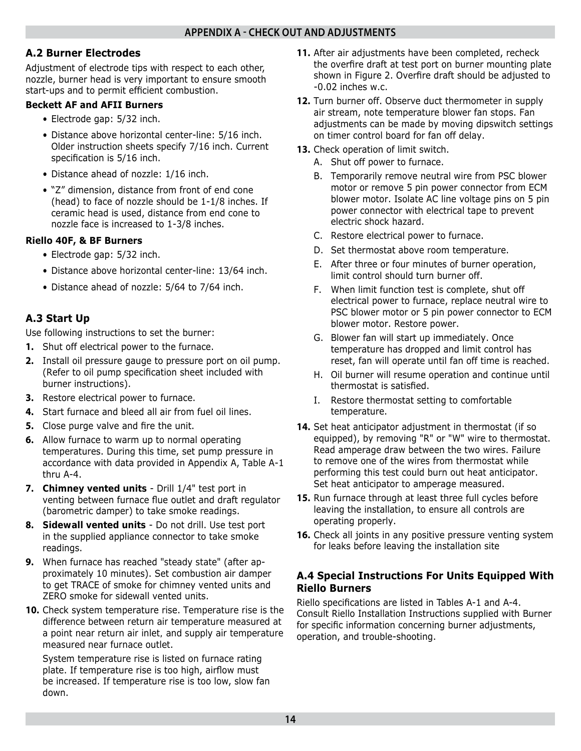#### **A.2 Burner Electrodes**

Adjustment of electrode tips with respect to each other, nozzle, burner head is very important to ensure smooth start-ups and to permit efficient combustion.

#### **Beckett AF and AFII Burners**

- Electrode gap: 5/32 inch.
- Distance above horizontal center-line: 5/16 inch. Older instruction sheets specify 7/16 inch. Current specification is 5/16 inch.
- Distance ahead of nozzle: 1/16 inch.
- "Z" dimension, distance from front of end cone (head) to face of nozzle should be 1-1/8 inches. If ceramic head is used, distance from end cone to nozzle face is increased to 1-3/8 inches.

#### **Riello 40F, & BF Burners**

- Electrode gap: 5/32 inch.
- Distance above horizontal center-line: 13/64 inch.
- Distance ahead of nozzle: 5/64 to 7/64 inch.

#### **A.3 Start Up**

Use following instructions to set the burner:

- **1.** Shut off electrical power to the furnace.
- **2.** Install oil pressure gauge to pressure port on oil pump. (Refer to oil pump specification sheet included with burner instructions).
- **3.** Restore electrical power to furnace.
- **4.** Start furnace and bleed all air from fuel oil lines.
- **5.** Close purge valve and fire the unit.
- **6.** Allow furnace to warm up to normal operating temperatures. During this time, set pump pressure in accordance with data provided in Appendix A, Table A-1 thru A-4.
- **7.** *Chimney vented units* Drill 1/4" test port in venting between furnace flue outlet and draft regulator (barometric damper) to take smoke readings.
- **8.** *Sidewall vented units* Do not drill. Use test port in the supplied appliance connector to take smoke readings.
- **9.** When furnace has reached "*steady state*" (after approximately 10 minutes). Set combustion air damper to get TRACE of smoke for chimney vented units and ZERO smoke for sidewall vented units.
- **10.** Check system temperature rise. *Temperature rise is the difference between return air temperature measured at a point near return air inlet, and supply air temperature measured near furnace outlet*.

System temperature rise is listed on furnace rating plate. If temperature rise is too high, airflow must be increased. If temperature rise is too low, slow fan down.

- **11.** After air adjustments have been completed, recheck the overfire draft at test port on burner mounting plate shown in Figure 2. Overfire draft should be adjusted to -0.02 inches w.c.
- **12.** Turn burner off. Observe duct thermometer in supply air stream, note temperature blower fan stops. Fan adjustments can be made by moving dipswitch settings on timer control board for fan off delay.
- **13.** Check operation of limit switch.
	- A. Shut off power to furnace.
	- B. Temporarily remove neutral wire from PSC blower motor or remove 5 pin power connector from ECM blower motor. Isolate AC line voltage pins on 5 pin power connector with electrical tape to prevent electric shock hazard.
	- C. Restore electrical power to furnace.
	- D. Set thermostat above room temperature.
	- E. After three or four minutes of burner operation, limit control should turn burner off.
	- F. When limit function test is complete, shut off electrical power to furnace, replace neutral wire to PSC blower motor or 5 pin power connector to ECM blower motor. Restore power.
	- G. Blower fan will start up immediately. Once temperature has dropped and limit control has reset, fan will operate until fan off time is reached.
	- H. Oil burner will resume operation and continue until thermostat is satisfied.
	- I. Restore thermostat setting to comfortable temperature.
- **14.** Set heat anticipator adjustment in thermostat (if so equipped), by removing "R" or "W" wire to thermostat. Read amperage draw between the two wires. Failure to remove one of the wires from thermostat while performing this test could burn out heat anticipator. Set heat anticipator to amperage measured.
- **15.** Run furnace through at least three full cycles before leaving the installation, to ensure all controls are operating properly.
- **16.** Check all joints in any positive pressure venting system for leaks before leaving the installation site

#### **A.4 Special Instructions For Units Equipped With Riello Burners**

Riello specifications are listed in Tables A-1 and A-4. Consult Riello Installation Instructions supplied with Burner for specific information concerning burner adjustments, operation, and trouble-shooting.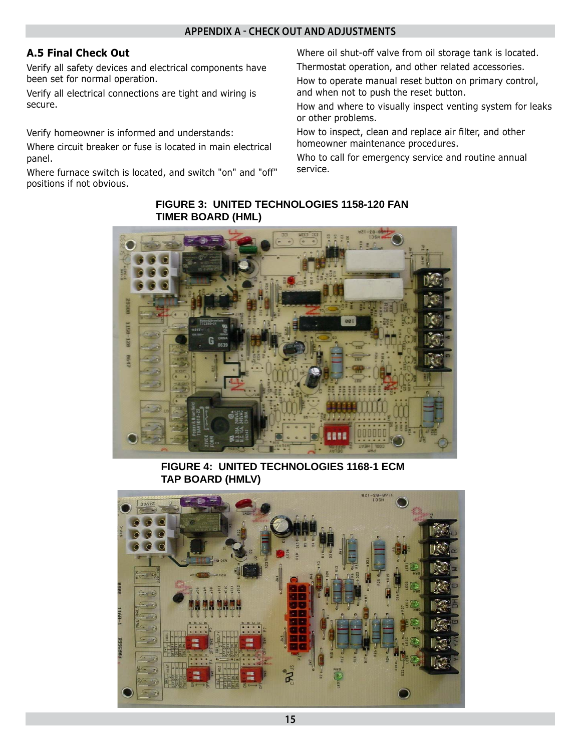#### **APPENDIX A - CHECK OUT AND ADJUSTMENTS**

#### **A.5 Final Check Out**

Verify all safety devices and electrical components have been set for normal operation.

Verify all electrical connections are tight and wiring is secure.

Verify homeowner is informed and understands:

Where circuit breaker or fuse is located in main electrical panel.

Where furnace switch is located, and switch "on" and "off" positions if not obvious.

Where oil shut-off valve from oil storage tank is located. Thermostat operation, and other related accessories.

How to operate manual reset button on primary control, and when not to push the reset button.

How and where to visually inspect venting system for leaks or other problems.

How to inspect, clean and replace air filter, and other homeowner maintenance procedures.

Who to call for emergency service and routine annual service.

#### **FIGURE 3: UNITED TECHNOLOGIES 1158-120 FAN TIMER BOARD (HML)**



**FIGURE 4: UNITED TECHNOLOGIES 1168-1 ECM TAP BOARD (HMLV)**

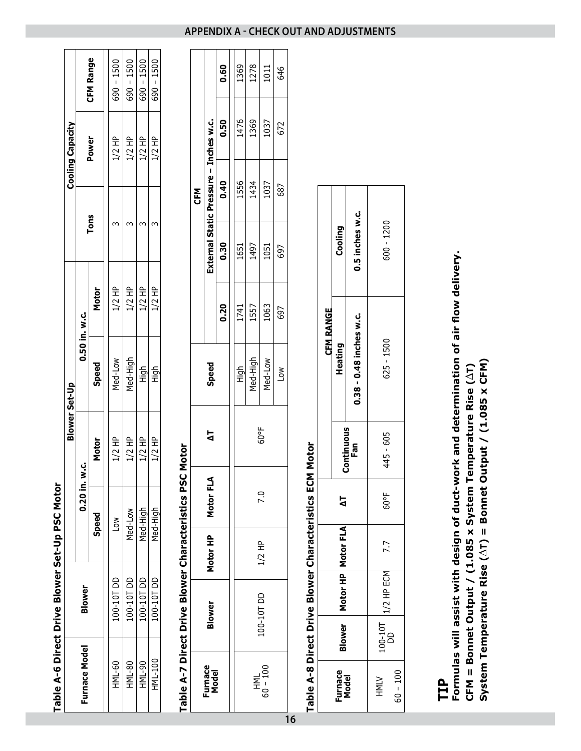|                         |                      | <b>CFM Range</b> | $690 - 1500$ | $690 - 1500$ | $690 - 1500$ | $690 - 1500$ |
|-------------------------|----------------------|------------------|--------------|--------------|--------------|--------------|
| <b>Cooling Capacity</b> |                      | Power            | $1/2$ HP     | 1/2 HP       | 1/2 HP       | 1/2 HP       |
|                         |                      | Tons             |              |              |              |              |
|                         |                      | <b>Motor</b>     | $1/2$ HP     | 1/2 HP       | $1/2$ HP     | $1/2$ HP     |
|                         | 0.50 in. w.c.        | Speed            | Med-Low      | Med-High     | -<br>도구<br>エ | High         |
| Blower Set-Up           | ن<br>خ               | Motor            | $1/2$ HP     | 1/2 HP       | 1/2 HP       | 1/2 HP       |
|                         | $0.20$ in.           | <b>Speed</b>     | $\geq$       | Med-Low      | Med-High     | Med-High     |
|                         | Blower               |                  | $-00 - 10$   | $-00 - 10$   | 100-10T DD   | 100-10T DD   |
|                         | <b>Furnace Model</b> |                  | HML-60       | HML-80       | HML-90       | HML-100      |

**Table A-6 Direct Drive Blower Set-Up PSC Motor**

Table A-6 Direct Drive Blower Set-Up PSC Motor

# Table A-7 Direct Drive Blower Characteristics PSC Motor **Table A-7 Direct Drive Blower Characteristics PSC Motor**

|                  |                  |          |           |             |                  |      |      | <b>CFM</b>                             |      |      |
|------------------|------------------|----------|-----------|-------------|------------------|------|------|----------------------------------------|------|------|
| Furnace<br>Model | Blower           | Motor HP | Motor FLA | 占           | Speed            |      |      | External Static Pressure - Inches w.c. |      |      |
|                  |                  |          |           |             |                  | 0.20 | 0.30 | 0.40                                   | 0.50 | 0.60 |
|                  |                  |          |           |             | 틟                | 1741 | 1651 | 1556                                   | 1476 | 1369 |
|                  |                  |          |           |             | Med-High         | 1557 | 1497 | 1434                                   | 1369 | 1278 |
| SO - 100         | $-00 - 101 - 00$ | $1/2$ HP | <b>이</b>  | <b>60°F</b> | Med-Low          | 1063 | 1051 | 1037                                   | 1037 | 1011 |
|                  |                  |          |           |             | $\sum_{i=1}^{n}$ | 697  | 697  | 687                                    | 672  | 646  |
| 16               |                  |          |           |             |                  |      |      |                                        |      |      |

# Table A-8 Direct Drive Blower Characteristics ECM Motor **Table A-8 Direct Drive Blower Characteristics ECM Motor**

|                  | Cooling              | 0.5 inches w.c.         | $600 - 1200$ |            |
|------------------|----------------------|-------------------------|--------------|------------|
| <b>CFM RANGE</b> | Heating              | 0.38 - 0.48 inches w.c. | $625 - 1500$ |            |
|                  |                      | Continuous<br>Fan       | 445 - 605    |            |
|                  | ۵                    |                         | 60°F         |            |
|                  |                      |                         | 7.7          |            |
|                  | Motor HP   Motor FLA |                         | /2 HP ECM    |            |
|                  | <b>Blower</b>        |                         | $100 - 107$  |            |
|                  | Furnace<br>Model     |                         | <b>NINH</b>  | $60 - 100$ |

# **TIP**

Formulas will assist with design of duct-work and determination of air flow delivery. Formulas will assist with design of duct-work and determination of air flow delivery. System Temperature Rise  $(\Delta T)$  = Bonnet Output / (1.085 x CFM) **System Temperature Rise (**∆**T) = Bonnet Output / (1.085 x CFM)**CFM = Bonnet Output / (1.085 x System Temperature Rise  $(\Delta T)$ **CFM = Bonnet Output / (1.085 x System Temperature Rise (**∆**T)**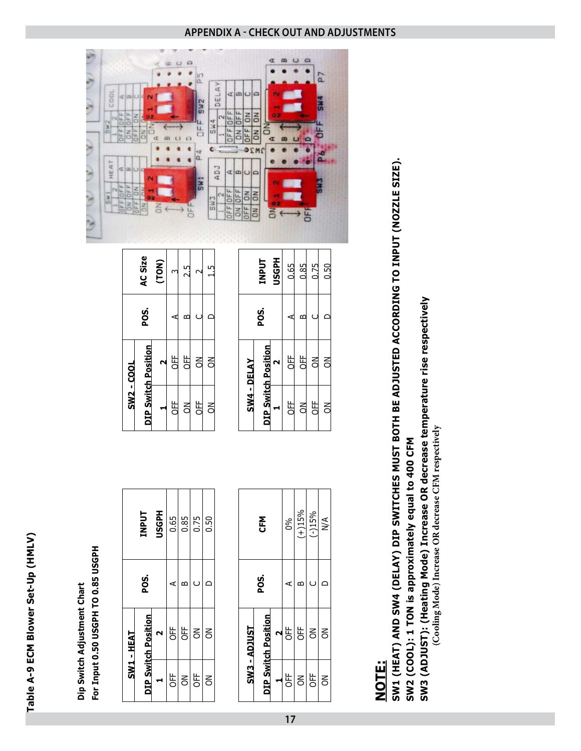

For Input 0.50 USGPH TO 0.85 USGPH **For Input 0.50 USGPH TO 0.85 USGPH** Dip Switch Adjustment Chart **Dip Switch Adjustment Chart**

|                   | AC Size                    | (TON) |         |      |         |      |
|-------------------|----------------------------|-------|---------|------|---------|------|
|                   | <b>POS.</b>                |       |         |      |         |      |
|                   | <b>DIP Switch Position</b> |       | in<br>C |      |         |      |
| <b>SW2 - COOL</b> |                            |       | i<br>C  |      | ii<br>C |      |
|                   |                            |       |         |      |         |      |
|                   |                            |       |         |      |         |      |
|                   | <b>TNPUT</b>               | Hdow  | 0.65    | 0.85 | 0.75    | 0.50 |
|                   | <b>POS.</b>                |       |         |      |         |      |
| $SW1 - HEM$       | <b>DIP Switch Position</b> |       | 齿       | ₽F   |         |      |

| <b>SW3 - ADJUST</b> | <b>POS.</b> |            | SW4 - DELAY         |        | <b>POS.</b> |              |
|---------------------|-------------|------------|---------------------|--------|-------------|--------------|
|                     |             | <b>NEC</b> | DIP Switch Position |        |             | <b>UNANT</b> |
|                     |             |            |                     |        |             | <b>ASSE</b>  |
|                     |             | ഉ്റ        | 造                   | t<br>C |             |              |
|                     |             | $4 + 15%$  |                     |        |             | 185          |
|                     |             | $(-)15%$   | 造                   |        |             | ) 75         |
|                     |             |            |                     |        |             | 0.50         |

**17**

|                   | AC Size                    | (TON) |         |           |   |  |
|-------------------|----------------------------|-------|---------|-----------|---|--|
|                   | <b>POS.</b>                |       |         |           |   |  |
|                   |                            |       | it<br>C | 出口        |   |  |
| <b>SW2 - COOL</b> | <b>DIP Switch Position</b> |       | 進       | $\approx$ | 풀 |  |

|                    | <b>Hasan</b><br><b>TNPUT</b> | 0.65   | 0.85   | 0.75           | 0.50           |
|--------------------|------------------------------|--------|--------|----------------|----------------|
|                    | <b>POS.</b>                  |        |        |                |                |
|                    |                              | J⊭     | 巴<br>C | $\overline{5}$ | $\overline{5}$ |
| <b>SW4 - DELAY</b> | <b>DIP Switch Position</b>   | 巴<br>C | ă      | UFF            | š              |



# **NOTE:**

# SW1 (HEAT) AND SW4 (DELAY) DIP SWITCHES MUST BOTH BE ADJUSTED ACCORDING TO INPUT (NOZZLE SIZE). **SW1 (HEAT) AND SW4 (DELAY) DIP SWITCHES MUST BOTH BE ADJUSTED ACCORDING TO INPUT (NOZZLE SIZE).** SW2 (COOL): 1 TON is approximately equal to 400 CFM **SW2 (COOL): 1 TON is approximately equal to 400 CFM**

SW3 (ADJUST): (Heating Mode) Increase OR decrease temperature rise respectively **SW3 (ADJUST): (Heating Mode) Increase OR decrease temperature rise respectively**

(Cooling Mode) Increase OR decrease CFM respectively  **(Cooling Mode) Increase OR decrease CFM respectively**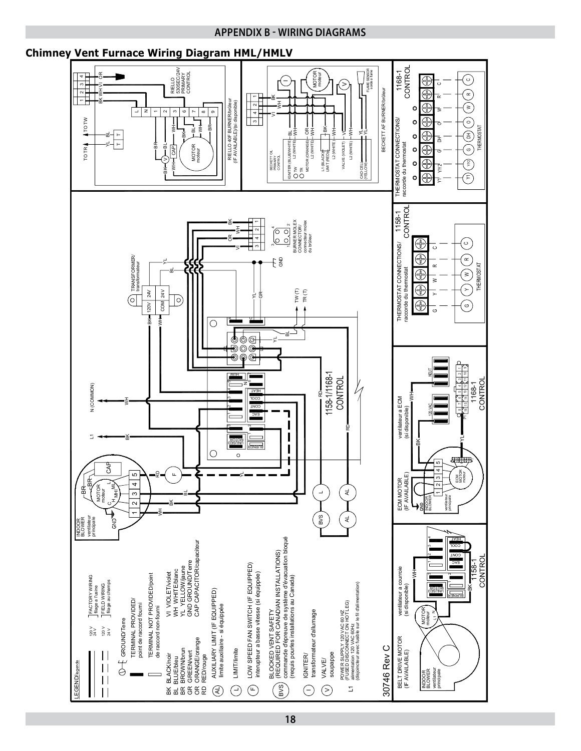#### **APPENDIX B - WIRING DIAGRAMS**

#### **Chimney Vent Furnace Wiring Diagram HML/HMLV**

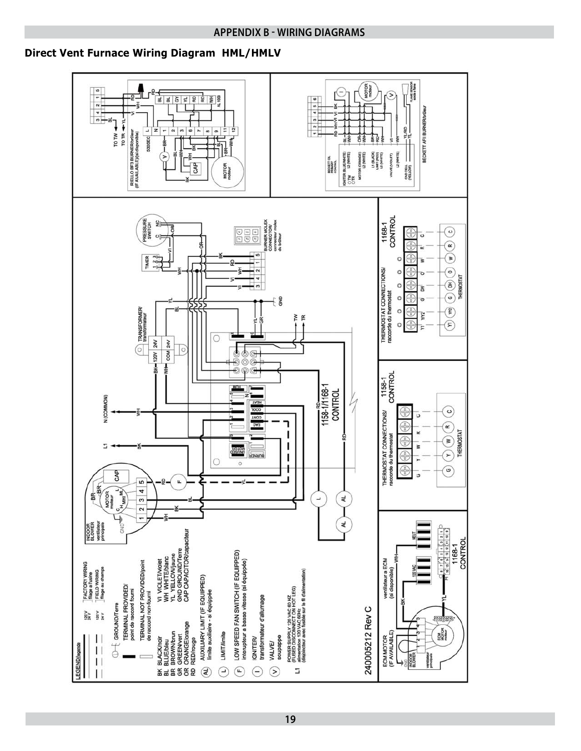#### **APPENDIX B - WIRING DIAGRAMS**

#### **Direct Vent Furnace Wiring Diagram HML/HMLV**

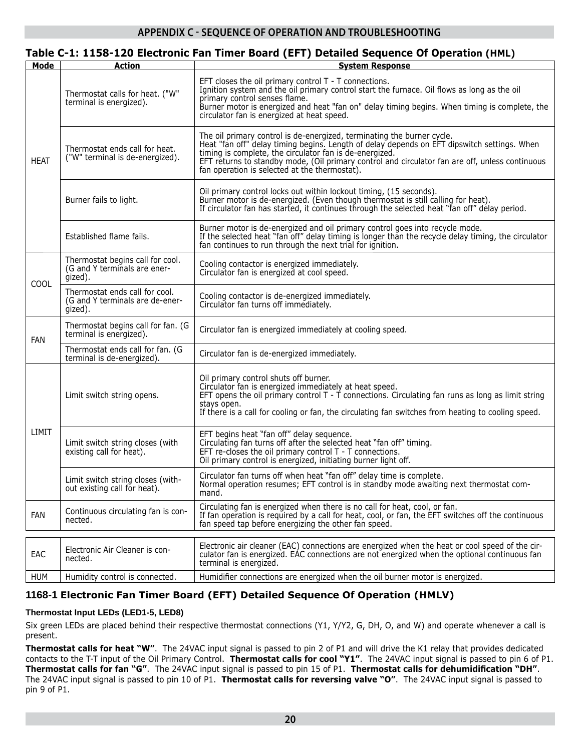#### **APPENDIX C - SEQUENCE OF OPERATION AND TROUBLESHOOTING**

#### **Table C-1: 1158-120 Electronic Fan Timer Board (EFT) Detailed Sequence Of Operation (HML)**

| Mode        | <b>Action</b>                                                                | <b>System Response</b>                                                                                                                                                                                                                                                                                                                                                               |
|-------------|------------------------------------------------------------------------------|--------------------------------------------------------------------------------------------------------------------------------------------------------------------------------------------------------------------------------------------------------------------------------------------------------------------------------------------------------------------------------------|
|             | Thermostat calls for heat. ("W"<br>terminal is energized).                   | EFT closes the oil primary control T - T connections.<br>Ignition system and the oil primary control start the furnace. Oil flows as long as the oil<br>primary control senses flame.<br>Burner motor is energized and heat "fan on" delay timing begins. When timing is complete, the<br>circulator fan is energized at heat speed.                                                 |
| <b>HEAT</b> | Thermostat ends call for heat.<br>("W" terminal is de-energized).            | The oil primary control is de-energized, terminating the burner cycle.<br>Heat "fan off" delay timing begins. Length of delay depends on EFT dipswitch settings. When<br>timing is complete, the circulator fan is de-energized.<br>EFT returns to standby mode, (Oil primary control and circulator fan are off, unless continuous<br>fan operation is selected at the thermostat). |
|             | Burner fails to light.                                                       | Oil primary control locks out within lockout timing, (15 seconds).<br>Burner motor is de-energized. (Even though thermostat is still calling for heat).<br>If circulator fan has started, it continues through the selected heat "fan off" delay period.                                                                                                                             |
|             | Established flame fails.                                                     | Burner motor is de-energized and oil primary control goes into recycle mode.<br>If the selected heat "fan off" delay timing is longer than the recycle delay timing, the circulator<br>fan continues to run through the next trial for ignition.                                                                                                                                     |
| COOL        | Thermostat begins call for cool.<br>(G and Y terminals are ener-<br>gized).  | Cooling contactor is energized immediately.<br>Circulator fan is energized at cool speed.                                                                                                                                                                                                                                                                                            |
|             | Thermostat ends call for cool.<br>(G and Y terminals are de-ener-<br>gized). | Cooling contactor is de-energized immediately.<br>Circulator fan turns off immediately.                                                                                                                                                                                                                                                                                              |
| <b>FAN</b>  | Thermostat begins call for fan. (G<br>terminal is energized).                | Circulator fan is energized immediately at cooling speed.                                                                                                                                                                                                                                                                                                                            |
|             | Thermostat ends call for fan. (G<br>terminal is de-energized).               | Circulator fan is de-energized immediately.                                                                                                                                                                                                                                                                                                                                          |
|             | Limit switch string opens.                                                   | Oil primary control shuts off burner.<br>Circulator fan is energized immediately at heat speed.<br>EFT opens the oil primary control $T - \tilde{T}$ connections. Circulating fan runs as long as limit string<br>stays open.<br>If there is a call for cooling or fan, the circulating fan switches from heating to cooling speed.                                                  |
| LIMIT       | Limit switch string closes (with<br>existing call for heat).                 | EFT begins heat "fan off" delay sequence.<br>Circulating fan turns off after the selected heat "fan off" timing.<br>EFT re-closes the oil primary control $T - T$ connections.<br>Oil primary control is energized, initiating burner light off.                                                                                                                                     |
|             | Limit switch string closes (with-<br>out existing call for heat).            | Circulator fan turns off when heat "fan off" delay time is complete.<br>Normal operation resumes; EFT control is in standby mode awaiting next thermostat com-<br>mand.                                                                                                                                                                                                              |
| FAN         | Continuous circulating fan is con-<br>nected.                                | Circulating fan is energized when there is no call for heat, cool, or fan.<br>If fan operation is required by a call for heat, cool, or fan, the EFT switches off the continuous<br>fan speed tap before energizing the other fan speed.                                                                                                                                             |
|             |                                                                              | Electronic air cleaner (EAC) connections are energized when the heat or cool speed of the cir-                                                                                                                                                                                                                                                                                       |
| EAC         | Electronic Air Cleaner is con-<br>nected.                                    | culator fan is energized. EAC connections are not energized when the optional continuous fan<br>terminal is energized.                                                                                                                                                                                                                                                               |
| <b>HUM</b>  | Humidity control is connected.                                               | Humidifier connections are energized when the oil burner motor is energized.                                                                                                                                                                                                                                                                                                         |

#### **1168-1 Electronic Fan Timer Board (EFT) Detailed Sequence Of Operation (HMLV)**

#### **Thermostat Input LEDs (LED1-5, LED8)**

Six green LEDs are placed behind their respective thermostat connections (Y1, Y/Y2, G, DH, O, and W) and operate whenever a call is present.

**Thermostat calls for heat "W"**. The 24VAC input signal is passed to pin 2 of P1 and will drive the K1 relay that provides dedicated contacts to the T-T input of the Oil Primary Control. **Thermostat calls for cool "Y1"**. The 24VAC input signal is passed to pin 6 of P1. Thermostat calls for fan "G". The 24VAC input signal is passed to pin 15 of P1. Thermostat calls for dehumidification "DH". The 24VAC input signal is passed to pin 10 of P1. **Thermostat calls for reversing valve "O"**. The 24VAC input signal is passed to pin 9 of P1.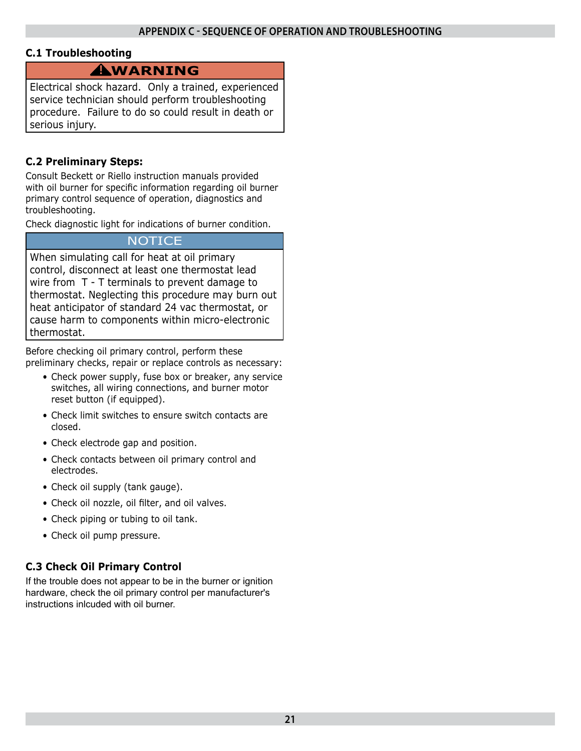#### **C.1 Troubleshooting**

### **WARNING !**

Electrical shock hazard. Only a trained, experienced service technician should perform troubleshooting procedure. Failure to do so could result in death or serious injury.

#### **C.2 Preliminary Steps:**

Consult Beckett or Riello instruction manuals provided with oil burner for specific information regarding oil burner primary control sequence of operation, diagnostics and troubleshooting.

Check diagnostic light for indications of burner condition.

#### **NOTICE**

When simulating call for heat at oil primary control, disconnect at least one thermostat lead wire from T - T terminals to prevent damage to thermostat. Neglecting this procedure may burn out heat anticipator of standard 24 vac thermostat, or cause harm to components within micro-electronic thermostat.

Before checking oil primary control, perform these preliminary checks, repair or replace controls as necessary:

- Check power supply, fuse box or breaker, any service switches, all wiring connections, and burner motor reset button (if equipped).
- Check limit switches to ensure switch contacts are closed.
- Check electrode gap and position.
- Check contacts between oil primary control and electrodes.
- Check oil supply (tank gauge).
- Check oil nozzle, oil filter, and oil valves.
- Check piping or tubing to oil tank.
- Check oil pump pressure.

#### **C.3 Check Oil Primary Control**

If the trouble does not appear to be in the burner or ignition hardware, check the oil primary control per manufacturer's instructions inlcuded with oil burner.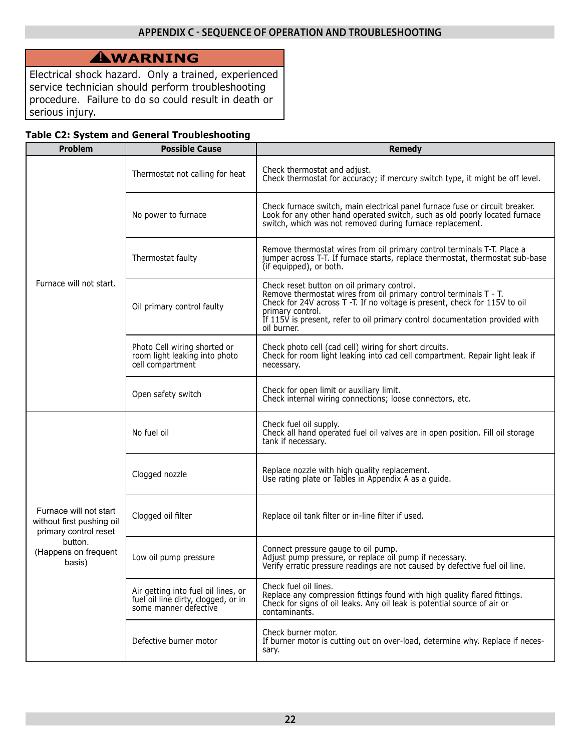# **WARNING !**

Electrical shock hazard. Only a trained, experienced service technician should perform troubleshooting procedure. Failure to do so could result in death or serious injury.

#### **Table C2: System and General Troubleshooting**

| Problem                                                                                                                   | <b>Possible Cause</b>                                                                               | <b>Remedy</b>                                                                                                                                                                                                                                                                                                    |
|---------------------------------------------------------------------------------------------------------------------------|-----------------------------------------------------------------------------------------------------|------------------------------------------------------------------------------------------------------------------------------------------------------------------------------------------------------------------------------------------------------------------------------------------------------------------|
|                                                                                                                           | Thermostat not calling for heat                                                                     | Check thermostat and adjust.<br>Check thermostat for accuracy; if mercury switch type, it might be off level.                                                                                                                                                                                                    |
|                                                                                                                           | No power to furnace                                                                                 | Check furnace switch, main electrical panel furnace fuse or circuit breaker.<br>Look for any other hand operated switch, such as old poorly located furnace<br>switch, which was not removed during furnace replacement.                                                                                         |
|                                                                                                                           | Thermostat faulty                                                                                   | Remove thermostat wires from oil primary control terminals T-T. Place a<br>jumper across T-T. If furnace starts, replace thermostat, thermostat sub-base<br>(if equipped), or both.                                                                                                                              |
| Furnace will not start.                                                                                                   | Oil primary control faulty                                                                          | Check reset button on oil primary control.<br>Remove thermostat wires from oil primary control terminals T - T.<br>Check for 24V across T -T. If no voltage is present, check for 115V to oil<br>primary control.<br>If 115V is present, refer to oil primary control documentation provided with<br>oil burner. |
|                                                                                                                           | Photo Cell wiring shorted or<br>room light leaking into photo<br>cell compartment                   | Check photo cell (cad cell) wiring for short circuits.<br>Check for room light leaking into cad cell compartment. Repair light leak if<br>necessary.                                                                                                                                                             |
|                                                                                                                           | Open safety switch                                                                                  | Check for open limit or auxiliary limit.<br>Check internal wiring connections; loose connectors, etc.                                                                                                                                                                                                            |
|                                                                                                                           | No fuel oil                                                                                         | Check fuel oil supply.<br>Check all hand operated fuel oil valves are in open position. Fill oil storage<br>tank if necessary.                                                                                                                                                                                   |
| Furnace will not start<br>without first pushing oil<br>primary control reset<br>button.<br>(Happens on frequent<br>basis) | Clogged nozzle                                                                                      | Replace nozzle with high quality replacement.<br>Use rating plate or Tables in Appendix A as a guide.                                                                                                                                                                                                            |
|                                                                                                                           | Clogged oil filter                                                                                  | Replace oil tank filter or in-line filter if used.                                                                                                                                                                                                                                                               |
|                                                                                                                           | Low oil pump pressure                                                                               | Connect pressure gauge to oil pump.<br>Adjust pump pressure, or replace oil pump if necessary.<br>Verify erratic pressure readings are not caused by defective fuel oil line.                                                                                                                                    |
|                                                                                                                           | Air getting into fuel oil lines, or<br>fuel oil line dirty, clogged, or in<br>some manner defective | Check fuel oil lines.<br>Replace any compression fittings found with high quality flared fittings.<br>Check for signs of oil leaks. Any oil leak is potential source of air or<br>contaminants.                                                                                                                  |
|                                                                                                                           | Defective burner motor                                                                              | Check burner motor.<br>If burner motor is cutting out on over-load, determine why. Replace if neces-<br>sary.                                                                                                                                                                                                    |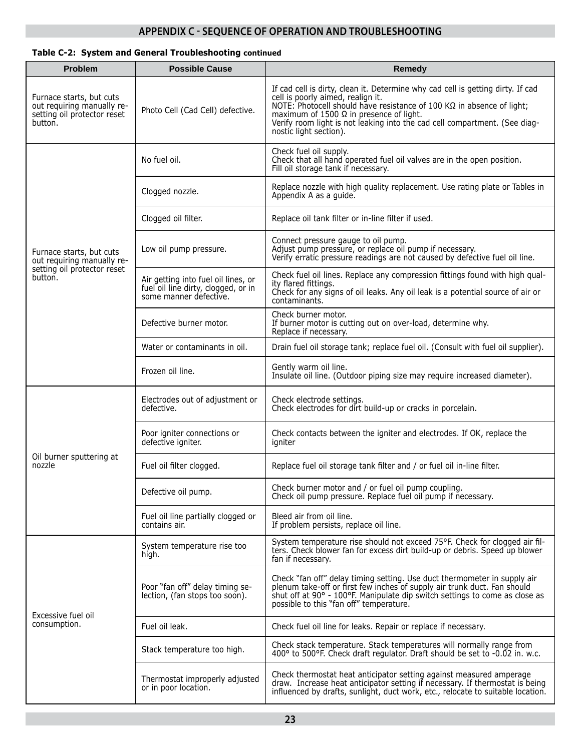#### **APPENDIX C - SEQUENCE OF OPERATION AND TROUBLESHOOTING**

#### **Table C-2: System and General Troubleshooting continued**

| <b>Problem</b>                                                                                   | <b>Possible Cause</b>                                                                                | Remedy                                                                                                                                                                                                                                                                                                                                                  |
|--------------------------------------------------------------------------------------------------|------------------------------------------------------------------------------------------------------|---------------------------------------------------------------------------------------------------------------------------------------------------------------------------------------------------------------------------------------------------------------------------------------------------------------------------------------------------------|
| Furnace starts, but cuts<br>out requiring manually re-<br>setting oil protector reset<br>button. | Photo Cell (Cad Cell) defective.                                                                     | If cad cell is dirty, clean it. Determine why cad cell is getting dirty. If cad<br>cell is poorly aimed, realign it.<br>NOTE: Photocell should have resistance of 100 KΩ in absence of light;<br>maximum of 1500 $\Omega$ in presence of light.<br>Verify room light is not leaking into the cad cell compartment. (See diag-<br>nostic light section). |
|                                                                                                  | No fuel oil.                                                                                         | Check fuel oil supply.<br>Check that all hand operated fuel oil valves are in the open position.<br>Fill oil storage tank if necessary.                                                                                                                                                                                                                 |
|                                                                                                  | Clogged nozzle.                                                                                      | Replace nozzle with high quality replacement. Use rating plate or Tables in<br>Appendix A as a guide.                                                                                                                                                                                                                                                   |
|                                                                                                  | Clogged oil filter.                                                                                  | Replace oil tank filter or in-line filter if used.                                                                                                                                                                                                                                                                                                      |
| Furnace starts, but cuts<br>out requiring manually re-                                           | Low oil pump pressure.                                                                               | Connect pressure gauge to oil pump.<br>Adjust pump pressure, or replace oil pump if necessary.<br>Verify erratic pressure readings are not caused by defective fuel oil line.                                                                                                                                                                           |
| setting oil protector reset<br>button.                                                           | Air getting into fuel oil lines, or<br>fuel oil line dirty, clogged, or in<br>some manner defective. | Check fuel oil lines. Replace any compression fittings found with high qual-<br>ity flared fittings.<br>Check for any signs of oil leaks. Any oil leak is a potential source of air or<br>contaminants.                                                                                                                                                 |
|                                                                                                  | Defective burner motor.                                                                              | Check burner motor.<br>If burner motor is cutting out on over-load, determine why.<br>Replace if necessary.                                                                                                                                                                                                                                             |
|                                                                                                  | Water or contaminants in oil.                                                                        | Drain fuel oil storage tank; replace fuel oil. (Consult with fuel oil supplier).                                                                                                                                                                                                                                                                        |
|                                                                                                  | Frozen oil line.                                                                                     | Gently warm oil line.<br>Insulate oil line. (Outdoor piping size may require increased diameter).                                                                                                                                                                                                                                                       |
|                                                                                                  | Electrodes out of adjustment or<br>defective.                                                        | Check electrode settings.<br>Check electrodes for dirt build-up or cracks in porcelain.                                                                                                                                                                                                                                                                 |
|                                                                                                  | Poor igniter connections or<br>defective igniter.                                                    | Check contacts between the igniter and electrodes. If OK, replace the<br>igniter                                                                                                                                                                                                                                                                        |
| Oil burner sputtering at<br>nozzle                                                               | Fuel oil filter clogged.                                                                             | Replace fuel oil storage tank filter and / or fuel oil in-line filter.                                                                                                                                                                                                                                                                                  |
|                                                                                                  | Defective oil pump.                                                                                  | Check burner motor and / or fuel oil pump coupling.<br>Check oil pump pressure. Replace fuel oil pump if necessary.                                                                                                                                                                                                                                     |
|                                                                                                  | Fuel oil line partially clogged or<br>contains air.                                                  | Bleed air from oil line.<br>If problem persists, replace oil line.                                                                                                                                                                                                                                                                                      |
|                                                                                                  | System temperature rise too<br>high.                                                                 | System temperature rise should not exceed 75°F. Check for clogged air fil-<br>ters. Check blower fan for excess dirt build-up or debris. Speed up blower<br>fan if necessary.                                                                                                                                                                           |
|                                                                                                  | Poor "fan off" delay timing se-<br>lection, (fan stops too soon).                                    | Check "fan off" delay timing setting. Use duct thermometer in supply air<br>plenum take-off or first few inches of supply air trunk duct. Fan should<br>shut off at 90° - 100°F. Manipulate dip switch settings to come as close as<br>possible to this "fan off" temperature.                                                                          |
| Excessive fuel oil<br>consumption.                                                               | Fuel oil leak.                                                                                       | Check fuel oil line for leaks. Repair or replace if necessary.                                                                                                                                                                                                                                                                                          |
|                                                                                                  | Stack temperature too high.                                                                          | Check stack temperature. Stack temperatures will normally range from<br>400° to 500°F. Check draft regulator. Draft should be set to -0.02 in. w.c.                                                                                                                                                                                                     |
|                                                                                                  | Thermostat improperly adjusted<br>or in poor location.                                               | Check thermostat heat anticipator setting against measured amperage<br>draw. Increase heat anticipator setting if necessary. If thermostat is being<br>influenced by drafts, sunlight, duct work, etc., relocate to suitable location.                                                                                                                  |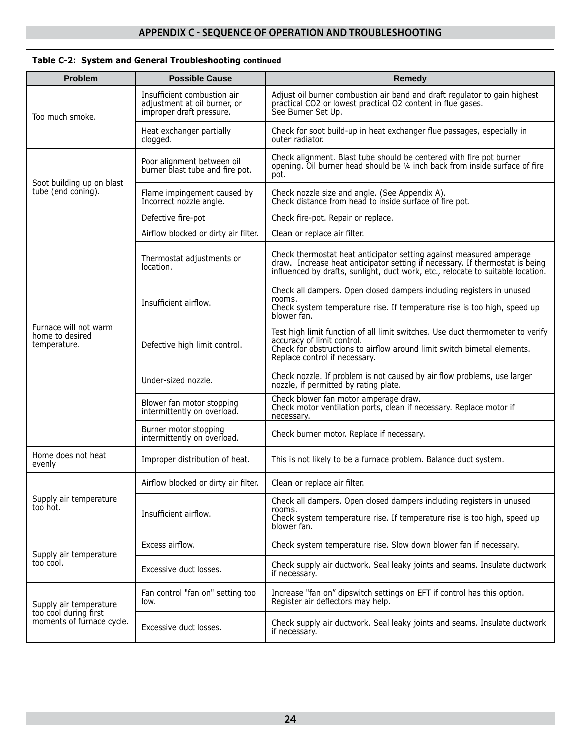| Table C-2: System and General Troubleshooting continued |  |
|---------------------------------------------------------|--|
|---------------------------------------------------------|--|

| <b>Problem</b>                                           | <b>Possible Cause</b>                                                                   | <b>Remedy</b>                                                                                                                                                                                                                          |  |
|----------------------------------------------------------|-----------------------------------------------------------------------------------------|----------------------------------------------------------------------------------------------------------------------------------------------------------------------------------------------------------------------------------------|--|
| Too much smoke.                                          | Insufficient combustion air<br>adjustment at oil burner, or<br>improper draft pressure. | Adjust oil burner combustion air band and draft regulator to gain highest<br>practical CO2 or lowest practical O2 content in flue gases.<br>See Burner Set Up.                                                                         |  |
|                                                          | Heat exchanger partially<br>clogged.                                                    | Check for soot build-up in heat exchanger flue passages, especially in<br>outer radiator.                                                                                                                                              |  |
|                                                          | Poor alignment between oil<br>burner blast tube and fire pot.                           | Check alignment. Blast tube should be centered with fire pot burner<br>opening. Oil burner head should be 1/4 inch back from inside surface of fire<br>pot.                                                                            |  |
| Soot building up on blast<br>tube (end coning).          | Flame impingement caused by<br>Incorrect nozzle angle.                                  | Check nozzle size and angle. (See Appendix A).<br>Check distance from head to inside surface of fire pot.                                                                                                                              |  |
|                                                          | Defective fire-pot                                                                      | Check fire-pot. Repair or replace.                                                                                                                                                                                                     |  |
|                                                          | Airflow blocked or dirty air filter.                                                    | Clean or replace air filter.                                                                                                                                                                                                           |  |
|                                                          | Thermostat adjustments or<br>location.                                                  | Check thermostat heat anticipator setting against measured amperage<br>draw. Increase heat anticipator setting if necessary. If thermostat is being<br>influenced by drafts, sunlight, duct work, etc., relocate to suitable location. |  |
| Furnace will not warm<br>home to desired<br>temperature. | Insufficient airflow.                                                                   | Check all dampers. Open closed dampers including registers in unused<br>rooms.<br>Check system temperature rise. If temperature rise is too high, speed up<br>blower fan.                                                              |  |
|                                                          | Defective high limit control.                                                           | Test high limit function of all limit switches. Use duct thermometer to verify<br>accuracy of limit control.<br>Check for obstructions to airflow around limit switch bimetal elements.<br>Replace control if necessary.               |  |
|                                                          | Under-sized nozzle.                                                                     | Check nozzle. If problem is not caused by air flow problems, use larger<br>nozzle, if permitted by rating plate.                                                                                                                       |  |
|                                                          | Blower fan motor stopping<br>intermittently on overload.                                | Check blower fan motor amperage draw.<br>Check motor ventilation ports, clean if necessary. Replace motor if<br>necessary.                                                                                                             |  |
|                                                          | Burner motor stopping<br>intermittently on overload.                                    | Check burner motor. Replace if necessary.                                                                                                                                                                                              |  |
| Home does not heat<br>evenly                             | Improper distribution of heat.                                                          | This is not likely to be a furnace problem. Balance duct system.                                                                                                                                                                       |  |
|                                                          | Airflow blocked or dirty air filter.                                                    | Clean or replace air filter.                                                                                                                                                                                                           |  |
| Supply air temperature<br>too hot.                       | Insufficient airflow.                                                                   | Check all dampers. Open closed dampers including registers in unused<br>rooms.<br>Check system temperature rise. If temperature rise is too high, speed up<br>blower fan.                                                              |  |
| Supply air temperature                                   | Excess airflow.                                                                         | Check system temperature rise. Slow down blower fan if necessary.                                                                                                                                                                      |  |
| too cool.                                                | Excessive duct losses.                                                                  | Check supply air ductwork. Seal leaky joints and seams. Insulate ductwork<br>if necessary.                                                                                                                                             |  |
| Supply air temperature                                   | Fan control "fan on" setting too<br>low.                                                | Increase "fan on" dipswitch settings on EFT if control has this option.<br>Register air deflectors may help.                                                                                                                           |  |
| too cool during first<br>moments of furnace cycle.       | Excessive duct losses.                                                                  | Check supply air ductwork. Seal leaky joints and seams. Insulate ductwork<br>if necessary.                                                                                                                                             |  |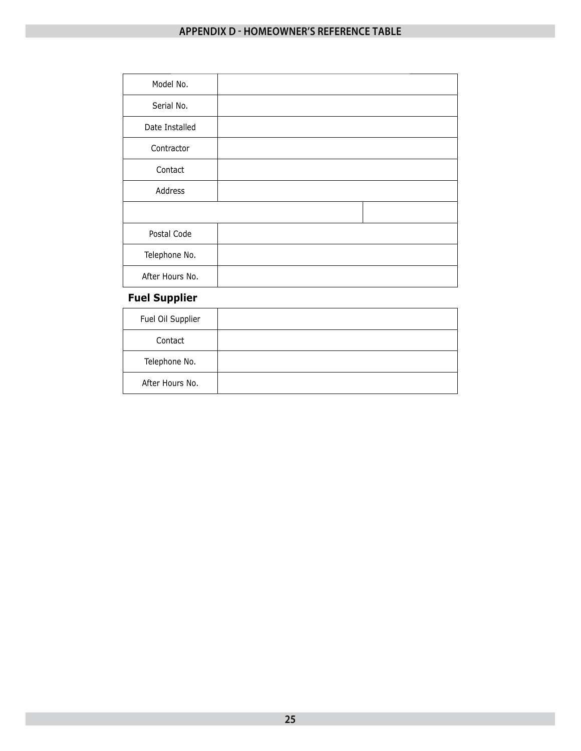# **APPENDIX D - HOMEOWNER'S REFERENCE TABLE**

| Model No.       |  |
|-----------------|--|
| Serial No.      |  |
| Date Installed  |  |
| Contractor      |  |
| Contact         |  |
| Address         |  |
|                 |  |
| Postal Code     |  |
| Telephone No.   |  |
| After Hours No. |  |

## **Fuel Supplier**

| Fuel Oil Supplier |  |
|-------------------|--|
| Contact           |  |
| Telephone No.     |  |
| After Hours No.   |  |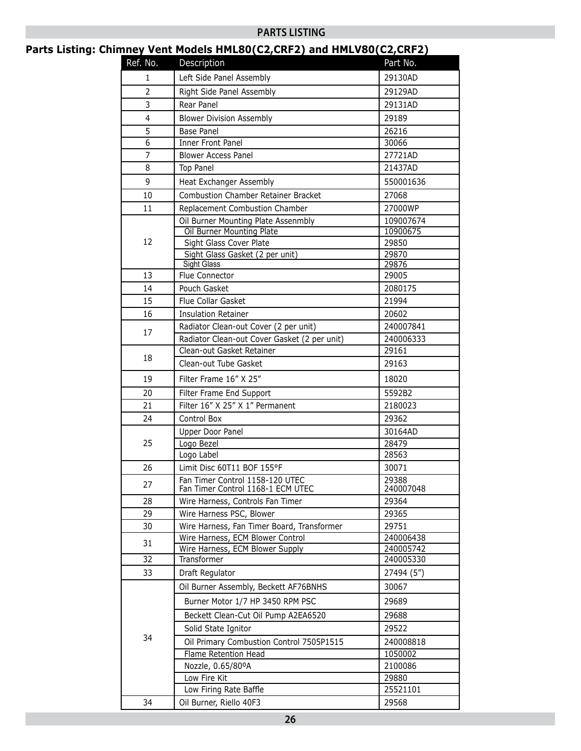#### **PARTS LISTING**

## **Parts Listing: Chimney Vent Models HML80(C2,CRF2) and HMLV80(C2,CRF2)**

| Ref. No.       | $\frac{1}{2}$<br>Description                                         | <u>-7000 -</u><br>Part No. |
|----------------|----------------------------------------------------------------------|----------------------------|
| 1              | Left Side Panel Assembly                                             | 29130AD                    |
| $\overline{2}$ | Right Side Panel Assembly                                            | 29129AD                    |
| 3              | Rear Panel                                                           | 29131AD                    |
| $\overline{4}$ | <b>Blower Division Assembly</b>                                      | 29189                      |
| 5              | Base Panel                                                           | 26216                      |
| 6              | Inner Front Panel                                                    | 30066                      |
| 7              | <b>Blower Access Panel</b>                                           | 27721AD                    |
| 8              | Top Panel                                                            | 21437AD                    |
| 9              | Heat Exchanger Assembly                                              | 550001636                  |
| 10             | Combustion Chamber Retainer Bracket                                  | 27068                      |
| 11             | Replacement Combustion Chamber                                       | 27000WP                    |
|                | Oil Burner Mounting Plate Assenmbly                                  | 109007674                  |
|                | Oil Burner Mounting Plate                                            | 10900675                   |
| 12             | Sight Glass Cover Plate                                              | 29850                      |
|                | Sight Glass Gasket (2 per unit)                                      | 29870                      |
|                | <b>Sight Glass</b>                                                   | 29876                      |
| 13             | Flue Connector                                                       | 29005                      |
| 14             | Pouch Gasket                                                         | 2080175                    |
| 15             | Flue Collar Gasket                                                   | 21994                      |
| 16             | <b>Insulation Retainer</b>                                           | 20602                      |
| 17             | Radiator Clean-out Cover (2 per unit)                                | 240007841                  |
|                | Radiator Clean-out Cover Gasket (2 per unit)                         | 240006333                  |
| 18             | Clean-out Gasket Retainer                                            | 29161                      |
|                | Clean-out Tube Gasket                                                | 29163                      |
| 19             | Filter Frame 16" X 25"                                               | 18020                      |
| 20             | Filter Frame End Support                                             | 5592B2                     |
| 21             | Filter 16" X 25" X 1" Permanent                                      | 2180023                    |
| 24             | Control Box                                                          | 29362                      |
|                | Upper Door Panel                                                     | 30164AD                    |
| 25             | Logo Bezel                                                           | 28479                      |
|                | Logo Label                                                           | 28563                      |
| 26             | Limit Disc 60T11 BOF 155°F                                           | 30071                      |
| 27             | Fan Timer Control 1158-120 UTEC<br>Fan Timer Control 1168-1 ECM UTEC | 29388<br>240007048         |
| 28             | Wire Harness, Controls Fan Timer                                     | 29364                      |
| 29             | Wire Harness PSC, Blower                                             | 29365                      |
| 30             | Wire Harness, Fan Timer Board, Transformer                           | 29751                      |
|                | Wire Harness, ECM Blower Control                                     | 240006438                  |
| 31             | Wire Harness, ECM Blower Supply                                      | 240005742                  |
| 32             | Transformer                                                          | 240005330                  |
| 33             | Draft Regulator                                                      | 27494 (5")                 |
|                | Oil Burner Assembly, Beckett AF76BNHS                                | 30067                      |
|                | Burner Motor 1/7 HP 3450 RPM PSC                                     | 29689                      |
|                | Beckett Clean-Cut Oil Pump A2EA6520                                  | 29688                      |
|                | Solid State Ignitor                                                  | 29522                      |
| 34             | Oil Primary Combustion Control 7505P1515                             | 240008818                  |
|                | Flame Retention Head                                                 | 1050002                    |
|                | Nozzle, 0.65/80°A                                                    | 2100086                    |
|                | Low Fire Kit                                                         | 29880                      |
|                | Low Firing Rate Baffle                                               | 25521101                   |
| 34             | Oil Burner, Riello 40F3                                              | 29568                      |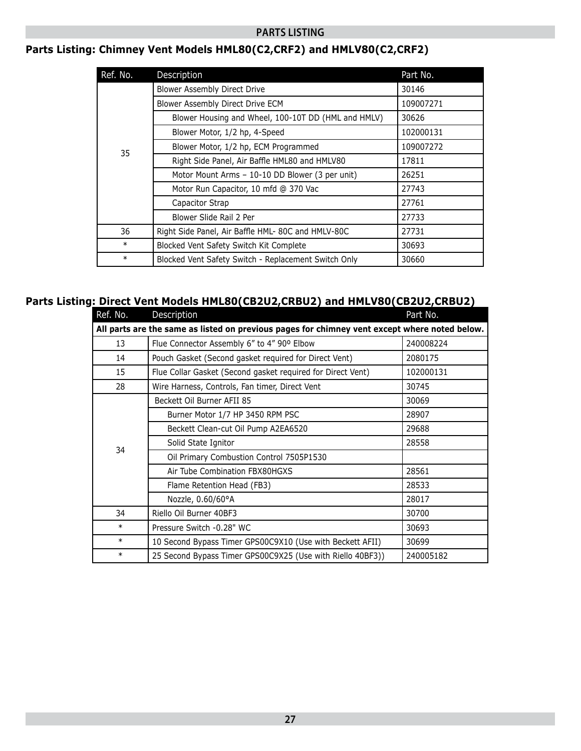#### **PARTS LISTING**

# **Parts Listing: Chimney Vent Models HML80(C2,CRF2) and HMLV80(C2,CRF2)**

| Ref. No. | Description                                          | Part No.  |
|----------|------------------------------------------------------|-----------|
|          | Blower Assembly Direct Drive                         | 30146     |
|          | Blower Assembly Direct Drive ECM                     | 109007271 |
|          | Blower Housing and Wheel, 100-10T DD (HML and HMLV)  | 30626     |
|          | Blower Motor, 1/2 hp, 4-Speed                        | 102000131 |
| 35       | Blower Motor, 1/2 hp, ECM Programmed                 | 109007272 |
|          | Right Side Panel, Air Baffle HML80 and HMLV80        | 17811     |
|          | Motor Mount Arms - 10-10 DD Blower (3 per unit)      | 26251     |
|          | Motor Run Capacitor, 10 mfd @ 370 Vac                | 27743     |
|          | Capacitor Strap                                      | 27761     |
|          | Blower Slide Rail 2 Per                              | 27733     |
| 36       | Right Side Panel, Air Baffle HML- 80C and HMLV-80C   | 27731     |
| $\ast$   | Blocked Vent Safety Switch Kit Complete              | 30693     |
| $\ast$   | Blocked Vent Safety Switch - Replacement Switch Only | 30660     |

#### **Parts Listing: Direct Vent Models HML80(CB2U2,CRBU2) and HMLV80(CB2U2,CRBU2)**

| Ref. No.                                                                                      | Description                                                 | Part No.  |
|-----------------------------------------------------------------------------------------------|-------------------------------------------------------------|-----------|
| All parts are the same as listed on previous pages for chimney vent except where noted below. |                                                             |           |
| 13                                                                                            | Flue Connector Assembly 6" to 4" 90° Elbow                  | 240008224 |
| 14                                                                                            | Pouch Gasket (Second gasket required for Direct Vent)       | 2080175   |
| 15                                                                                            | Flue Collar Gasket (Second gasket required for Direct Vent) | 102000131 |
| 28                                                                                            | Wire Harness, Controls, Fan timer, Direct Vent              | 30745     |
| 34                                                                                            | Beckett Oil Burner AFII 85                                  | 30069     |
|                                                                                               | Burner Motor 1/7 HP 3450 RPM PSC                            | 28907     |
|                                                                                               | Beckett Clean-cut Oil Pump A2EA6520                         | 29688     |
|                                                                                               | Solid State Ignitor                                         | 28558     |
|                                                                                               | Oil Primary Combustion Control 7505P1530                    |           |
|                                                                                               | Air Tube Combination FBX80HGXS                              | 28561     |
|                                                                                               | Flame Retention Head (FB3)                                  | 28533     |
|                                                                                               | Nozzle, 0.60/60°A                                           | 28017     |
| 34                                                                                            | Riello Oil Burner 40BF3                                     | 30700     |
| $\ast$                                                                                        | Pressure Switch -0.28" WC                                   | 30693     |
| $\ast$                                                                                        | 10 Second Bypass Timer GPS00C9X10 (Use with Beckett AFII)   | 30699     |
| $\ast$                                                                                        | 25 Second Bypass Timer GPS00C9X25 (Use with Riello 40BF3))  | 240005182 |